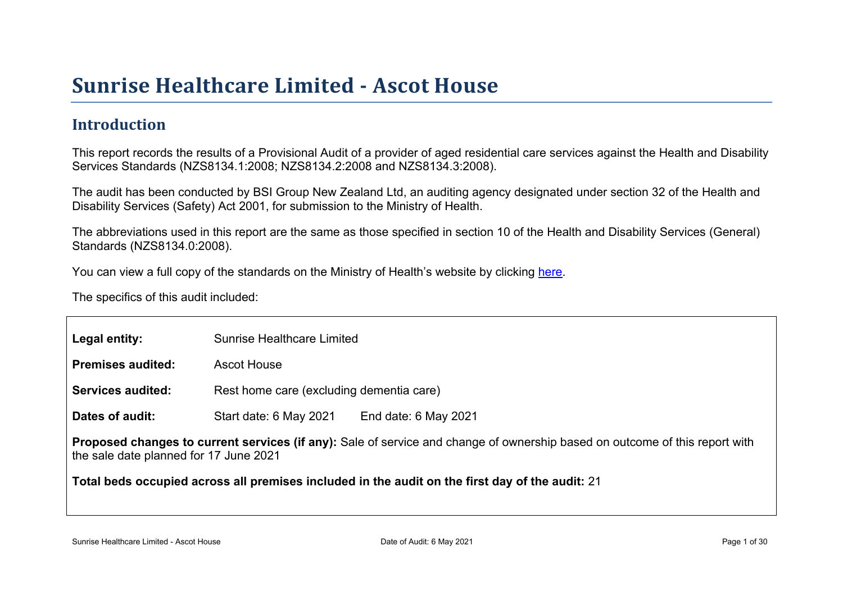# Sunrise Healthcar e Limited - Ascot House

### Introduction

This report records the results of a Provisional Audit of a provider of aged residential care services against the Health and Disability Services Standards (NZS8134.1:2008; NZS8134.2:2008 and NZS8134.3:2008).

The audit has been conducted by BSI Group New Zealand Ltd, an auditing agency designated under section 32 of the Health and Disability Services (Safety) Act 2001, for submission to the Ministry of Health.

The abbreviations used in this report are the same as those specified in section 10 of the Health and Disability Services (General) Standards (NZS8134.0:2008).

You can view a full copy of the standards on the Ministry of Health's website by clicking [here.](http://www.health.govt.nz/our-work/regulation-health-and-disability-system/certification-health-care-services/health-and-disability-services-standards)

The specifics of this audit included:

| Legal entity:                                                         | <b>Sunrise Healthcare Limited</b>        |                                                                                                 |
|-----------------------------------------------------------------------|------------------------------------------|-------------------------------------------------------------------------------------------------|
| Premises audited:                                                     | <b>Ascot House</b>                       |                                                                                                 |
| Services audited:                                                     | Rest home care (excluding dementia care) |                                                                                                 |
| Dates of audit:                                                       | Start date: 6 May 2021                   | End date: 6 May 2021                                                                            |
| Proposed changes to current<br>the sale date planned for 17 June 2021 |                                          | services (if any): Sale of service and change of ownership based on outcome of this report with |
| Total beds occupied across all premises included                      |                                          | in the audit on the first day of the audit: 21                                                  |

Sunrise Healthcare Limited - Ascot House Nature 2002 1 Club Care Date of Audit: 6 May 2021 Page 1 of 30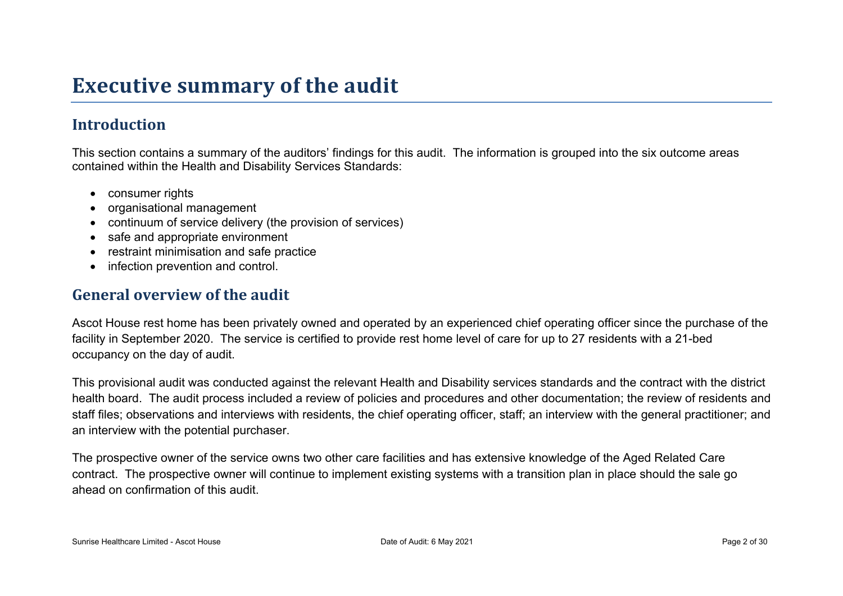# **Executive summary of the audit**

## **Introduction**

This section contains a summary of the auditors' findings for this audit. The information is grouped into the six outcome areas contained within the Health and Disability Services Standards:

- consumer rights
- organisational management
- continuum of service delivery (the provision of services)
- safe and appropriate environment
- restraint minimisation and safe practice
- infection prevention and control.

#### **General overview of the audit**

Ascot House rest home has been privately owned and operated by an experienced chief operating officer since the purchase of the facility in September 2020. The service is certified to provide rest home level of care for up to 27 residents with a 21-bed occupancy on the day of audit.

This provisional audit was conducted against the relevant Health and Disability services standards and the contract with the district health board. The audit process included a review of policies and procedures and other documentation; the review of residents and staff files; observations and interviews with residents, the chief operating officer, staff; an interview with the general practitioner; and an interview with the potential purchaser.

The prospective owner of the service owns two other care facilities and has extensive knowledge of the Aged Related Care contract. The prospective owner will continue to implement existing systems with a transition plan in place should the sale go ahead on confirmation of this audit.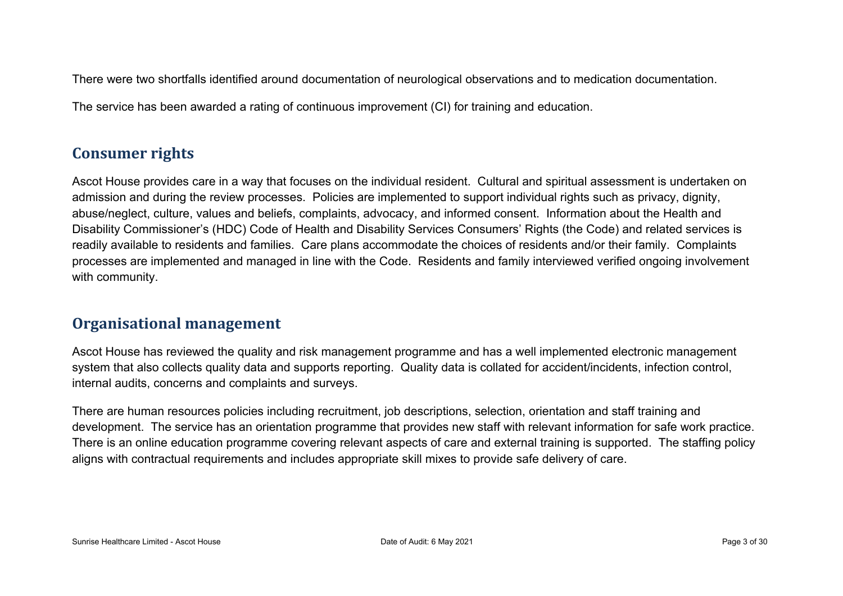There were two shortfalls identified around documentation of neurological observations and to medication documentation.

The service has been awarded a rating of continuous improvement (CI) for training and education.

### **Consumer rights**

Ascot House provides care in a way that focuses on the individual resident. Cultural and spiritual assessment is undertaken on admission and during the review processes. Policies are implemented to support individual rights such as privacy, dignity, abuse/neglect, culture, values and beliefs, complaints, advocacy, and informed consent. Information about the Health and Disability Commissioner's (HDC) Code of Health and Disability Services Consumers' Rights (the Code) and related services is readily available to residents and families. Care plans accommodate the choices of residents and/or their family. Complaints processes are implemented and managed in line with the Code. Residents and family interviewed verified ongoing involvement with community.

### **Organisational management**

Ascot House has reviewed the quality and risk management programme and has a well implemented electronic management system that also collects quality data and supports reporting. Quality data is collated for accident/incidents, infection control, internal audits, concerns and complaints and surveys.

There are human resources policies including recruitment, job descriptions, selection, orientation and staff training and development. The service has an orientation programme that provides new staff with relevant information for safe work practice. There is an online education programme covering relevant aspects of care and external training is supported. The staffing policy aligns with contractual requirements and includes appropriate skill mixes to provide safe delivery of care.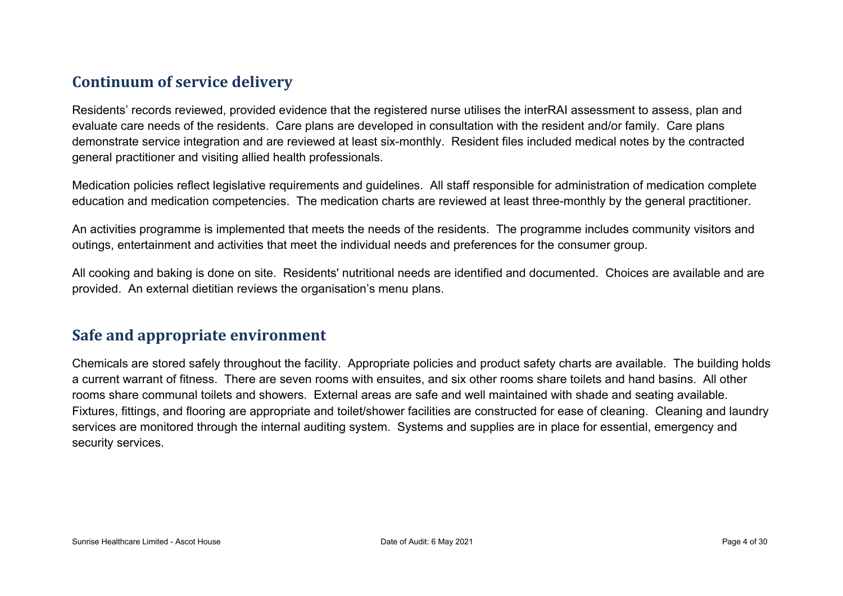### **Continuum of service delivery**

Residents' records reviewed, provided evidence that the registered nurse utilises the interRAI assessment to assess, plan and evaluate care needs of the residents. Care plans are developed in consultation with the resident and/or family. Care plans demonstrate service integration and are reviewed at least six-monthly. Resident files included medical notes by the contracted general practitioner and visiting allied health professionals.

Medication policies reflect legislative requirements and guidelines. All staff responsible for administration of medication complete education and medication competencies. The medication charts are reviewed at least three-monthly by the general practitioner.

An activities programme is implemented that meets the needs of the residents. The programme includes community visitors and outings, entertainment and activities that meet the individual needs and preferences for the consumer group.

All cooking and baking is done on site. Residents' nutritional needs are identified and documented. Choices are available and are provided. An external dietitian reviews the organisation's menu plans.

#### **Safe and appropriate environment**

Chemicals are stored safely throughout the facility. Appropriate policies and product safety charts are available. The building holds a current warrant of fitness. There are seven rooms with ensuites, and six other rooms share toilets and hand basins. All other rooms share communal toilets and showers. External areas are safe and well maintained with shade and seating available. Fixtures, fittings, and flooring are appropriate and toilet/shower facilities are constructed for ease of cleaning. Cleaning and laundry services are monitored through the internal auditing system. Systems and supplies are in place for essential, emergency and security services.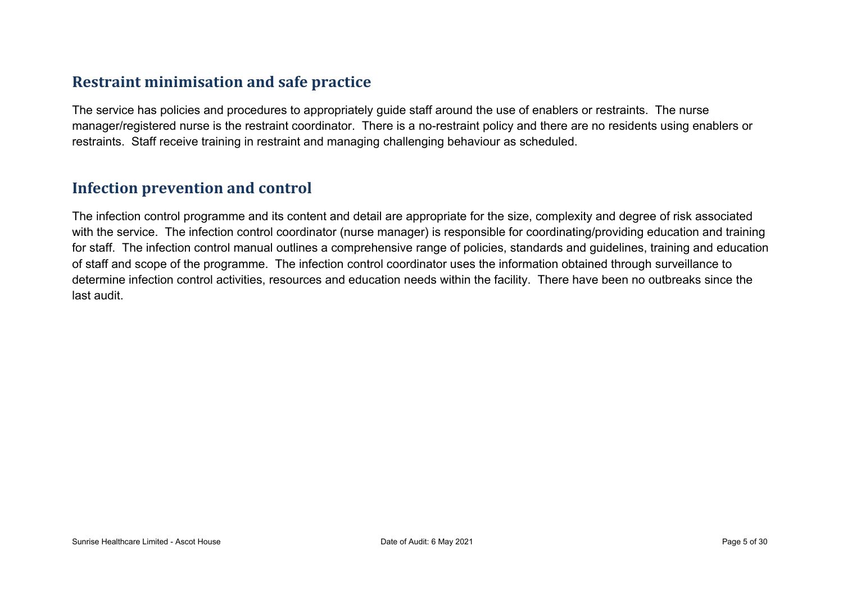### **Restraint minimisation and safe practice**

The service has policies and procedures to appropriately guide staff around the use of enablers or restraints. The nurse manager/registered nurse is the restraint coordinator. There is a no-restraint policy and there are no residents using enablers or restraints. Staff receive training in restraint and managing challenging behaviour as scheduled.

#### **Infection prevention and control**

The infection control programme and its content and detail are appropriate for the size, complexity and degree of risk associated with the service. The infection control coordinator (nurse manager) is responsible for coordinating/providing education and training for staff. The infection control manual outlines a comprehensive range of policies, standards and guidelines, training and education of staff and scope of the programme. The infection control coordinator uses the information obtained through surveillance to determine infection control activities, resources and education needs within the facility. There have been no outbreaks since the last audit.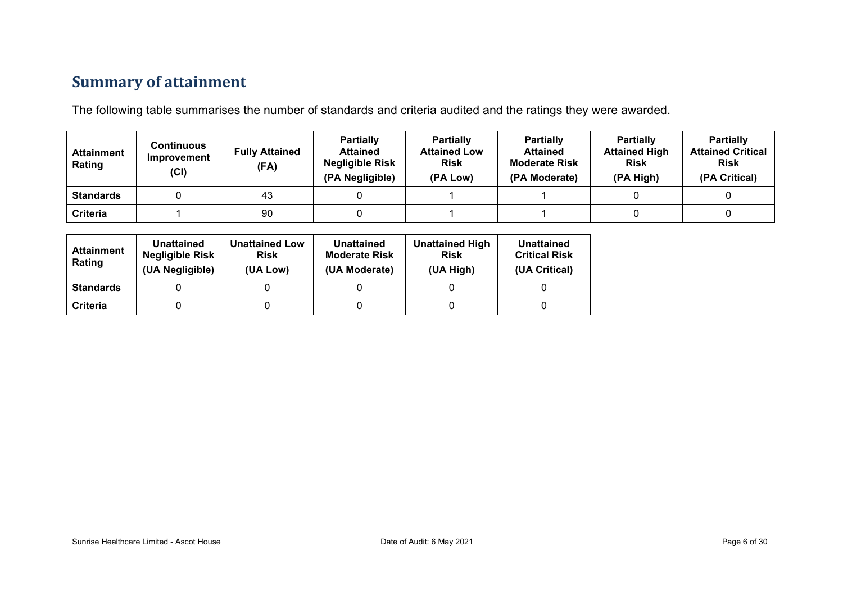# **Summary of attainment**

The following table summarises the number of standards and criteria audited and the ratings they were awarded.

| <b>Attainment</b><br>Rating | Continuous<br>Improvement<br>(Cl) | <b>Fully Attained</b><br>(FA) | <b>Partially</b><br><b>Attained</b><br><b>Negligible Risk</b><br>(PA Negligible) | <b>Partially</b><br><b>Attained Low</b><br><b>Risk</b><br>(PA Low) | <b>Partially</b><br><b>Attained</b><br><b>Moderate Risk</b><br>(PA Moderate) | <b>Partially</b><br><b>Attained High</b><br><b>Risk</b><br>(PA High) | <b>Partially</b><br><b>Attained Critical</b><br><b>Risk</b><br>(PA Critical) |
|-----------------------------|-----------------------------------|-------------------------------|----------------------------------------------------------------------------------|--------------------------------------------------------------------|------------------------------------------------------------------------------|----------------------------------------------------------------------|------------------------------------------------------------------------------|
| <b>Standards</b>            |                                   | 43                            |                                                                                  |                                                                    |                                                                              |                                                                      |                                                                              |
| Criteria                    |                                   | 90                            |                                                                                  |                                                                    |                                                                              |                                                                      |                                                                              |

| <b>Attainment</b><br>Rating | Unattained<br><b>Negligible Risk</b><br>(UA Negligible) | <b>Unattained Low</b><br><b>Risk</b><br>(UA Low) | <b>Unattained</b><br><b>Moderate Risk</b><br>(UA Moderate) | <b>Unattained High</b><br><b>Risk</b><br>(UA High) | Unattained<br><b>Critical Risk</b><br>(UA Critical) |
|-----------------------------|---------------------------------------------------------|--------------------------------------------------|------------------------------------------------------------|----------------------------------------------------|-----------------------------------------------------|
| <b>Standards</b>            |                                                         |                                                  |                                                            |                                                    |                                                     |
| Criteria                    |                                                         |                                                  |                                                            |                                                    |                                                     |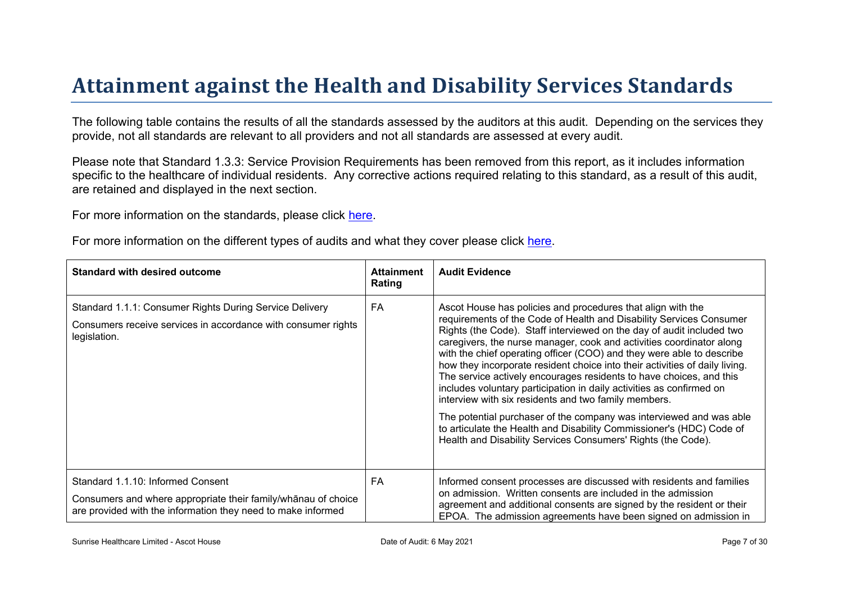# Attainment against the Health and Disability Ser vices Standar ds

The following table contains the results of all the standards assessed by the auditors at this audit. Depending on the services they provide, not all standards are relevant to all providers and not all standards are assessed at every audit.

Please note that Standard 1.3.3: Service Provision Requirements has been removed from this report, as it includes information specific to the healthcare of individual residents. Any corrective actions required relating to this standard, as a result of this audit. are retained and displayed in the next section.

For more information on the standards, please click [here](http://www.health.govt.nz/our-work/regulation-health-and-disability-system/certification-health-care-services/health-and-disability-services-standards).

For more information on the different types of audits and what they cover please click [here.](http://www.health.govt.nz/your-health/services-and-support/health-care-services/services-older-people/rest-home-certification-and-audits)

| Standard with desired outcome                                                                                                                                      | Attainment<br>Rating | <b>Audit Evidence</b>                                                                                                                                                                                                                                                                                                                                                                                                                                                                                                                                                                                                                                                                                                                                                                                                                                             |
|--------------------------------------------------------------------------------------------------------------------------------------------------------------------|----------------------|-------------------------------------------------------------------------------------------------------------------------------------------------------------------------------------------------------------------------------------------------------------------------------------------------------------------------------------------------------------------------------------------------------------------------------------------------------------------------------------------------------------------------------------------------------------------------------------------------------------------------------------------------------------------------------------------------------------------------------------------------------------------------------------------------------------------------------------------------------------------|
| Standard 1.1.1: Consumer Rights During Service Delivery<br>Consumers receive services in accordance with consumer rights<br>legislation.                           | FA                   | Ascot House has policies and procedures that align with the<br>requirements of the Code of Health and Disability Services Consumer<br>Rights (the Code). Staff interviewed on the day of audit included two<br>caregivers, the nurse manager, cook and activities coordinator along<br>with the chief operating officer (COO) and they were able to describe<br>how they incorporate resident choice into their activities of daily living.<br>The service actively encourages residents to have choices, and this<br>includes voluntary participation in daily activities as confirmed on<br>interview with six residents and two family members.<br>The potential purchaser of the company was interviewed and was able<br>to articulate the Health and Disability Commissioner's (HDC) Code of<br>Health and Disability Services Consumers' Rights (the Code). |
| Standard 1.1.10: Informed Consent<br>Consumers and where appropriate their<br>$\div 0$ E<br>obtice<br>are provided with the information they need to make informed | FA                   | Informed consent processes are discussed with residents and families<br>on admission. Written consents are included in the admission<br>agreement and additional consents are signed by the resident or their<br>EPOA. The admission agreements have been signed on admission in                                                                                                                                                                                                                                                                                                                                                                                                                                                                                                                                                                                  |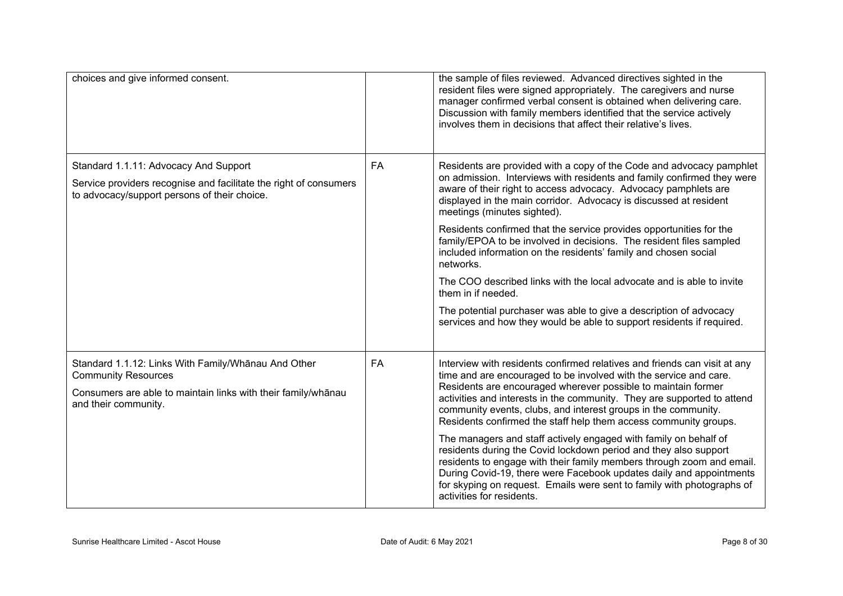| choices and give informed consent.                                                                                                                                         |           | the sample of files reviewed. Advanced directives sighted in the<br>resident files were signed appropriately. The caregivers and nurse<br>manager confirmed verbal consent is obtained when delivering care.<br>Discussion with family members identified that the service actively<br>involves them in decisions that affect their relative's lives.                                                                                                                                                                                                                                                                                                                                                                                                                                                                           |
|----------------------------------------------------------------------------------------------------------------------------------------------------------------------------|-----------|---------------------------------------------------------------------------------------------------------------------------------------------------------------------------------------------------------------------------------------------------------------------------------------------------------------------------------------------------------------------------------------------------------------------------------------------------------------------------------------------------------------------------------------------------------------------------------------------------------------------------------------------------------------------------------------------------------------------------------------------------------------------------------------------------------------------------------|
| Standard 1.1.11: Advocacy And Support<br>Service providers recognise and facilitate the right of consumers<br>to advocacy/support persons of their choice.                 | FA        | Residents are provided with a copy of the Code and advocacy pamphlet<br>on admission. Interviews with residents and family confirmed they were<br>aware of their right to access advocacy. Advocacy pamphlets are<br>displayed in the main corridor. Advocacy is discussed at resident<br>meetings (minutes sighted).<br>Residents confirmed that the service provides opportunities for the<br>family/EPOA to be involved in decisions. The resident files sampled<br>included information on the residents' family and chosen social<br>networks.<br>The COO described links with the local advocate and is able to invite<br>them in if needed.<br>The potential purchaser was able to give a description of advocacy<br>services and how they would be able to support residents if required.                               |
| Standard 1.1.12: Links With Family/Whanau And Other<br><b>Community Resources</b><br>Consumers are able to maintain links with their family/whānau<br>and their community. | <b>FA</b> | Interview with residents confirmed relatives and friends can visit at any<br>time and are encouraged to be involved with the service and care.<br>Residents are encouraged wherever possible to maintain former<br>activities and interests in the community. They are supported to attend<br>community events, clubs, and interest groups in the community.<br>Residents confirmed the staff help them access community groups.<br>The managers and staff actively engaged with family on behalf of<br>residents during the Covid lockdown period and they also support<br>residents to engage with their family members through zoom and email.<br>During Covid-19, there were Facebook updates daily and appointments<br>for skyping on request. Emails were sent to family with photographs of<br>activities for residents. |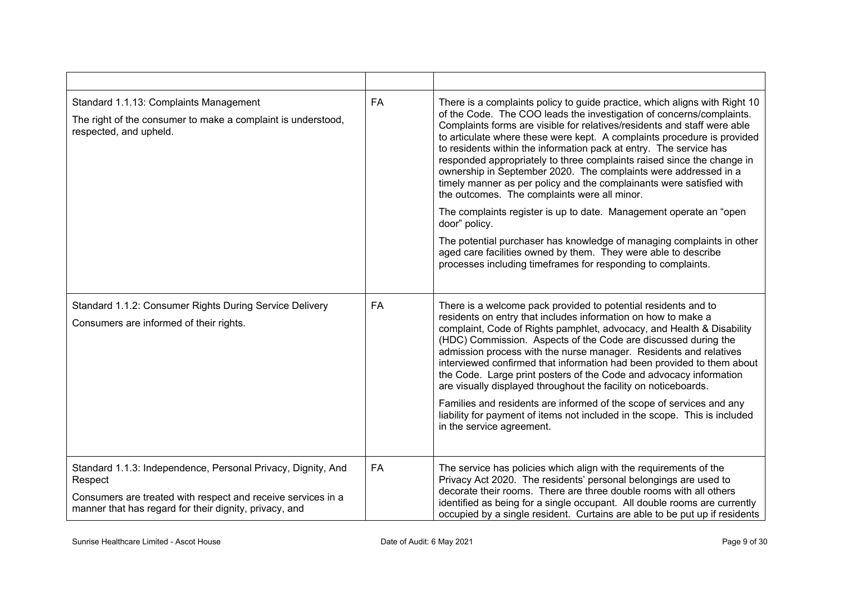| Standard 1.1.13: Complaints Management<br>The right of the consumer to make a complaint is understood,<br>respected, and upheld.                                                                  | <b>FA</b> | There is a complaints policy to guide practice, which aligns with Right 10<br>of the Code. The COO leads the investigation of concerns/complaints.<br>Complaints forms are visible for relatives/residents and staff were able<br>to articulate where these were kept. A complaints procedure is provided<br>to residents within the information pack at entry. The service has<br>responded appropriately to three complaints raised since the change in<br>ownership in September 2020. The complaints were addressed in a<br>timely manner as per policy and the complainants were satisfied with<br>the outcomes. The complaints were all minor.<br>The complaints register is up to date. Management operate an "open"<br>door" policy.<br>The potential purchaser has knowledge of managing complaints in other<br>aged care facilities owned by them. They were able to describe<br>processes including timeframes for responding to complaints. |
|---------------------------------------------------------------------------------------------------------------------------------------------------------------------------------------------------|-----------|---------------------------------------------------------------------------------------------------------------------------------------------------------------------------------------------------------------------------------------------------------------------------------------------------------------------------------------------------------------------------------------------------------------------------------------------------------------------------------------------------------------------------------------------------------------------------------------------------------------------------------------------------------------------------------------------------------------------------------------------------------------------------------------------------------------------------------------------------------------------------------------------------------------------------------------------------------|
| Standard 1.1.2: Consumer Rights During Service Delivery<br>Consumers are informed of their rights.                                                                                                | FA        | There is a welcome pack provided to potential residents and to<br>residents on entry that includes information on how to make a<br>complaint, Code of Rights pamphlet, advocacy, and Health & Disability<br>(HDC) Commission. Aspects of the Code are discussed during the<br>admission process with the nurse manager. Residents and relatives<br>interviewed confirmed that information had been provided to them about<br>the Code. Large print posters of the Code and advocacy information<br>are visually displayed throughout the facility on noticeboards.<br>Families and residents are informed of the scope of services and any<br>liability for payment of items not included in the scope. This is included<br>in the service agreement.                                                                                                                                                                                                   |
| Standard 1.1.3: Independence, Personal Privacy, Dignity, And<br>Respect<br>Consumers are treated with respect and receive services in a<br>manner that has regard for their dignity, privacy, and | FA        | The service has policies which align with the requirements of the<br>Privacy Act 2020. The residents' personal belongings are used to<br>decorate their rooms. There are three double rooms with all others<br>identified as being for a single occupant. All double rooms are currently<br>occupied by a single resident. Curtains are able to be put up if residents                                                                                                                                                                                                                                                                                                                                                                                                                                                                                                                                                                                  |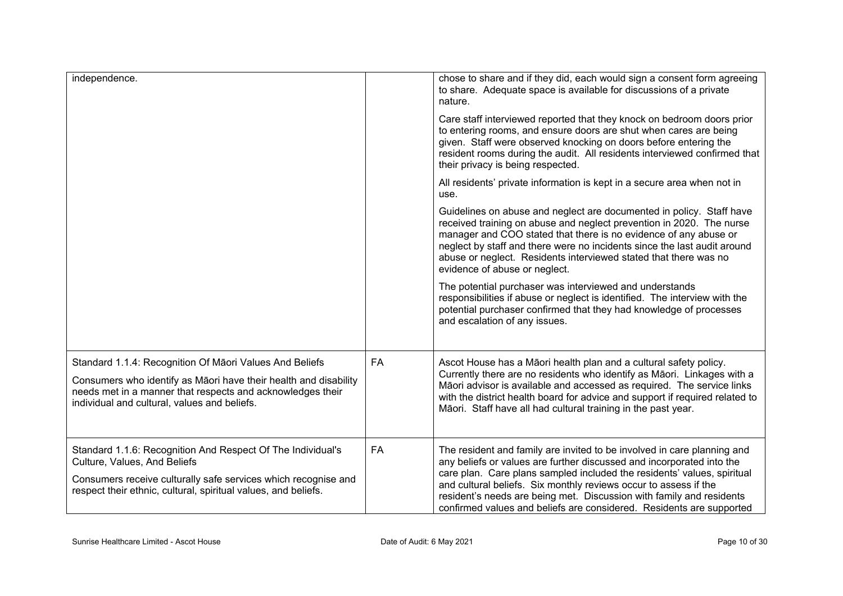| independence.                                                                                                                                                                                                                             |           | chose to share and if they did, each would sign a consent form agreeing<br>to share. Adequate space is available for discussions of a private<br>nature.                                                                                                                                                                                                                                                                                        |
|-------------------------------------------------------------------------------------------------------------------------------------------------------------------------------------------------------------------------------------------|-----------|-------------------------------------------------------------------------------------------------------------------------------------------------------------------------------------------------------------------------------------------------------------------------------------------------------------------------------------------------------------------------------------------------------------------------------------------------|
|                                                                                                                                                                                                                                           |           | Care staff interviewed reported that they knock on bedroom doors prior<br>to entering rooms, and ensure doors are shut when cares are being<br>given. Staff were observed knocking on doors before entering the<br>resident rooms during the audit. All residents interviewed confirmed that<br>their privacy is being respected.                                                                                                               |
|                                                                                                                                                                                                                                           |           | All residents' private information is kept in a secure area when not in<br>use.                                                                                                                                                                                                                                                                                                                                                                 |
|                                                                                                                                                                                                                                           |           | Guidelines on abuse and neglect are documented in policy. Staff have<br>received training on abuse and neglect prevention in 2020. The nurse<br>manager and COO stated that there is no evidence of any abuse or<br>neglect by staff and there were no incidents since the last audit around<br>abuse or neglect. Residents interviewed stated that there was no<br>evidence of abuse or neglect.                                               |
|                                                                                                                                                                                                                                           |           | The potential purchaser was interviewed and understands<br>responsibilities if abuse or neglect is identified. The interview with the<br>potential purchaser confirmed that they had knowledge of processes<br>and escalation of any issues.                                                                                                                                                                                                    |
| Standard 1.1.4: Recognition Of Māori Values And Beliefs<br>Consumers who identify as Māori have their health and disability<br>needs met in a manner that respects and acknowledges their<br>individual and cultural, values and beliefs. | <b>FA</b> | Ascot House has a Māori health plan and a cultural safety policy.<br>Currently there are no residents who identify as Māori. Linkages with a<br>Māori advisor is available and accessed as required. The service links<br>with the district health board for advice and support if required related to<br>Māori. Staff have all had cultural training in the past year.                                                                         |
| Standard 1.1.6: Recognition And Respect Of The Individual's<br>Culture, Values, And Beliefs<br>Consumers receive culturally safe services which recognise and<br>respect their ethnic, cultural, spiritual values, and beliefs.           | <b>FA</b> | The resident and family are invited to be involved in care planning and<br>any beliefs or values are further discussed and incorporated into the<br>care plan. Care plans sampled included the residents' values, spiritual<br>and cultural beliefs. Six monthly reviews occur to assess if the<br>resident's needs are being met. Discussion with family and residents<br>confirmed values and beliefs are considered. Residents are supported |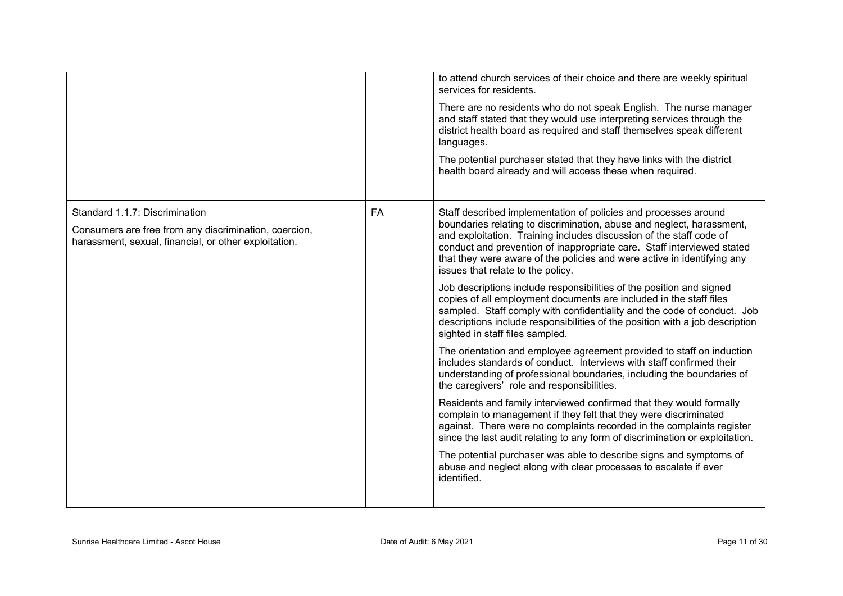|                                                                                                                                                  |    | to attend church services of their choice and there are weekly spiritual<br>services for residents.<br>There are no residents who do not speak English. The nurse manager<br>and staff stated that they would use interpreting services through the<br>district health board as required and staff themselves speak different<br>languages.<br>The potential purchaser stated that they have links with the district<br>health board already and will access these when required.                                                                                                                                                                                                                                                                                                                                                                                                                                                                                                                                                                                                                                                                                                                                                                                                                                                                                                                                                                                                          |
|--------------------------------------------------------------------------------------------------------------------------------------------------|----|--------------------------------------------------------------------------------------------------------------------------------------------------------------------------------------------------------------------------------------------------------------------------------------------------------------------------------------------------------------------------------------------------------------------------------------------------------------------------------------------------------------------------------------------------------------------------------------------------------------------------------------------------------------------------------------------------------------------------------------------------------------------------------------------------------------------------------------------------------------------------------------------------------------------------------------------------------------------------------------------------------------------------------------------------------------------------------------------------------------------------------------------------------------------------------------------------------------------------------------------------------------------------------------------------------------------------------------------------------------------------------------------------------------------------------------------------------------------------------------------|
| Standard 1.1.7: Discrimination<br>Consumers are free from any discrimination, coercion,<br>harassment, sexual, financial, or other exploitation. | FA | Staff described implementation of policies and processes around<br>boundaries relating to discrimination, abuse and neglect, harassment,<br>and exploitation. Training includes discussion of the staff code of<br>conduct and prevention of inappropriate care. Staff interviewed stated<br>that they were aware of the policies and were active in identifying any<br>issues that relate to the policy.<br>Job descriptions include responsibilities of the position and signed<br>copies of all employment documents are included in the staff files<br>sampled. Staff comply with confidentiality and the code of conduct. Job<br>descriptions include responsibilities of the position with a job description<br>sighted in staff files sampled.<br>The orientation and employee agreement provided to staff on induction<br>includes standards of conduct. Interviews with staff confirmed their<br>understanding of professional boundaries, including the boundaries of<br>the caregivers' role and responsibilities.<br>Residents and family interviewed confirmed that they would formally<br>complain to management if they felt that they were discriminated<br>against. There were no complaints recorded in the complaints register<br>since the last audit relating to any form of discrimination or exploitation.<br>The potential purchaser was able to describe signs and symptoms of<br>abuse and neglect along with clear processes to escalate if ever<br>identified. |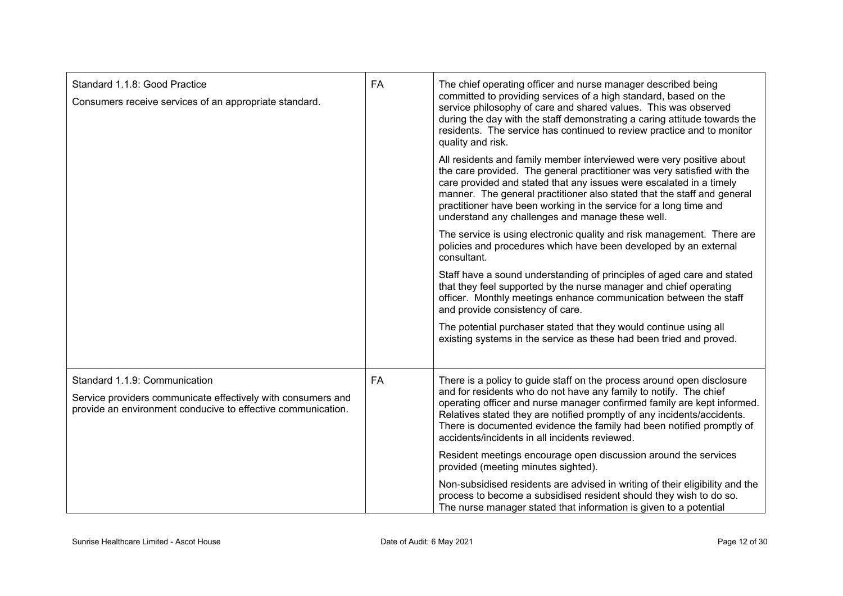| Standard 1.1.8: Good Practice<br>Consumers receive services of an appropriate standard.                                                                       | <b>FA</b> | The chief operating officer and nurse manager described being<br>committed to providing services of a high standard, based on the<br>service philosophy of care and shared values. This was observed<br>during the day with the staff demonstrating a caring attitude towards the<br>residents. The service has continued to review practice and to monitor<br>quality and risk.<br>All residents and family member interviewed were very positive about<br>the care provided. The general practitioner was very satisfied with the<br>care provided and stated that any issues were escalated in a timely<br>manner. The general practitioner also stated that the staff and general<br>practitioner have been working in the service for a long time and<br>understand any challenges and manage these well.<br>The service is using electronic quality and risk management. There are<br>policies and procedures which have been developed by an external<br>consultant.<br>Staff have a sound understanding of principles of aged care and stated<br>that they feel supported by the nurse manager and chief operating<br>officer. Monthly meetings enhance communication between the staff<br>and provide consistency of care. |
|---------------------------------------------------------------------------------------------------------------------------------------------------------------|-----------|-------------------------------------------------------------------------------------------------------------------------------------------------------------------------------------------------------------------------------------------------------------------------------------------------------------------------------------------------------------------------------------------------------------------------------------------------------------------------------------------------------------------------------------------------------------------------------------------------------------------------------------------------------------------------------------------------------------------------------------------------------------------------------------------------------------------------------------------------------------------------------------------------------------------------------------------------------------------------------------------------------------------------------------------------------------------------------------------------------------------------------------------------------------------------------------------------------------------------------------|
|                                                                                                                                                               |           | The potential purchaser stated that they would continue using all<br>existing systems in the service as these had been tried and proved.                                                                                                                                                                                                                                                                                                                                                                                                                                                                                                                                                                                                                                                                                                                                                                                                                                                                                                                                                                                                                                                                                            |
| Standard 1.1.9: Communication<br>Service providers communicate effectively with consumers and<br>provide an environment conducive to effective communication. | FA        | There is a policy to guide staff on the process around open disclosure<br>and for residents who do not have any family to notify. The chief<br>operating officer and nurse manager confirmed family are kept informed.<br>Relatives stated they are notified promptly of any incidents/accidents.<br>There is documented evidence the family had been notified promptly of<br>accidents/incidents in all incidents reviewed.                                                                                                                                                                                                                                                                                                                                                                                                                                                                                                                                                                                                                                                                                                                                                                                                        |
|                                                                                                                                                               |           | Resident meetings encourage open discussion around the services<br>provided (meeting minutes sighted).                                                                                                                                                                                                                                                                                                                                                                                                                                                                                                                                                                                                                                                                                                                                                                                                                                                                                                                                                                                                                                                                                                                              |
|                                                                                                                                                               |           | Non-subsidised residents are advised in writing of their eligibility and the<br>process to become a subsidised resident should they wish to do so.<br>The nurse manager stated that information is given to a potential                                                                                                                                                                                                                                                                                                                                                                                                                                                                                                                                                                                                                                                                                                                                                                                                                                                                                                                                                                                                             |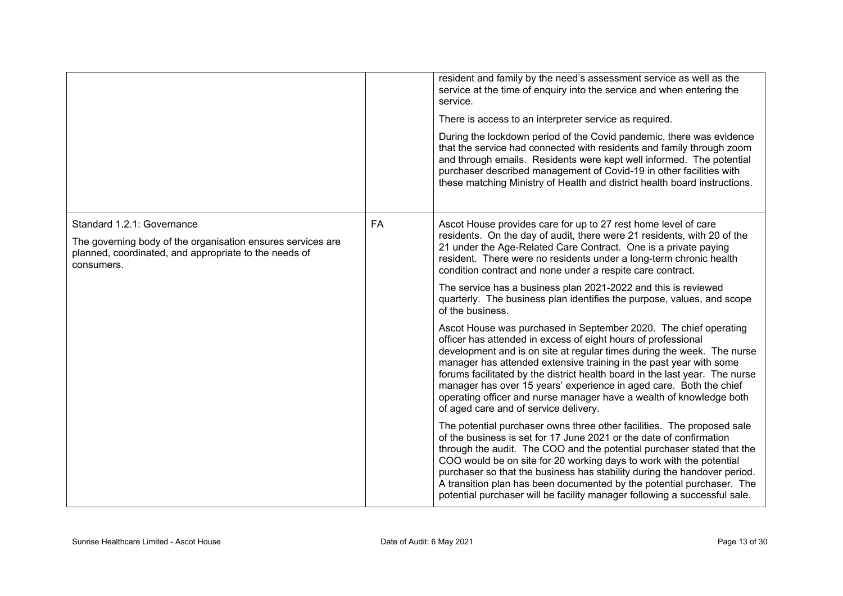|                                                                                                                                                                  |           | resident and family by the need's assessment service as well as the<br>service at the time of enquiry into the service and when entering the<br>service.<br>There is access to an interpreter service as required.<br>During the lockdown period of the Covid pandemic, there was evidence<br>that the service had connected with residents and family through zoom<br>and through emails. Residents were kept well informed. The potential<br>purchaser described management of Covid-19 in other facilities with<br>these matching Ministry of Health and district health board instructions. |
|------------------------------------------------------------------------------------------------------------------------------------------------------------------|-----------|-------------------------------------------------------------------------------------------------------------------------------------------------------------------------------------------------------------------------------------------------------------------------------------------------------------------------------------------------------------------------------------------------------------------------------------------------------------------------------------------------------------------------------------------------------------------------------------------------|
| Standard 1.2.1: Governance<br>The governing body of the organisation ensures services are<br>planned, coordinated, and appropriate to the needs of<br>consumers. | <b>FA</b> | Ascot House provides care for up to 27 rest home level of care<br>residents. On the day of audit, there were 21 residents, with 20 of the<br>21 under the Age-Related Care Contract. One is a private paying<br>resident. There were no residents under a long-term chronic health<br>condition contract and none under a respite care contract.<br>The service has a business plan 2021-2022 and this is reviewed<br>quarterly. The business plan identifies the purpose, values, and scope<br>of the business.                                                                                |
|                                                                                                                                                                  |           | Ascot House was purchased in September 2020. The chief operating<br>officer has attended in excess of eight hours of professional<br>development and is on site at regular times during the week. The nurse<br>manager has attended extensive training in the past year with some<br>forums facilitated by the district health board in the last year. The nurse<br>manager has over 15 years' experience in aged care. Both the chief<br>operating officer and nurse manager have a wealth of knowledge both<br>of aged care and of service delivery.                                          |
|                                                                                                                                                                  |           | The potential purchaser owns three other facilities. The proposed sale<br>of the business is set for 17 June 2021 or the date of confirmation<br>through the audit. The COO and the potential purchaser stated that the<br>COO would be on site for 20 working days to work with the potential<br>purchaser so that the business has stability during the handover period.<br>A transition plan has been documented by the potential purchaser. The<br>potential purchaser will be facility manager following a successful sale.                                                                |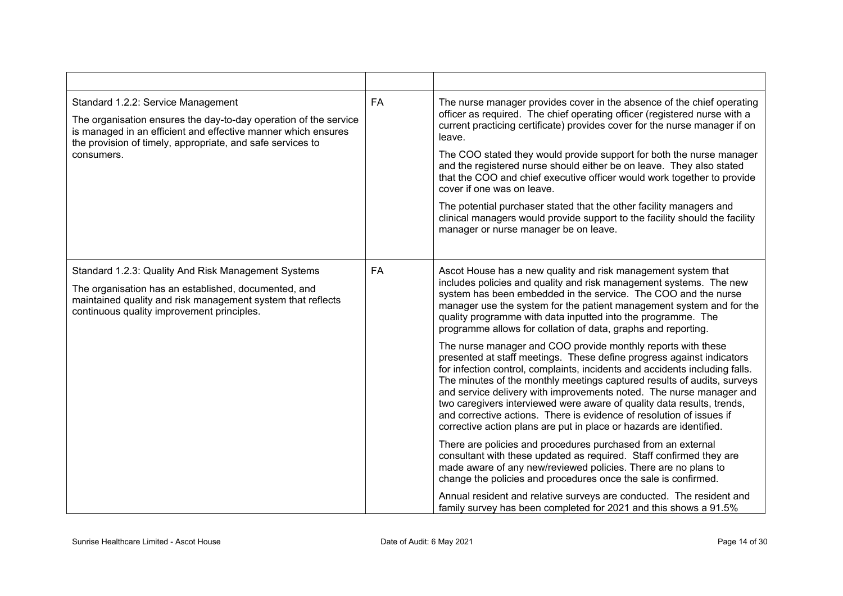| Standard 1.2.2: Service Management<br>The organisation ensures the day-to-day operation of the service<br>is managed in an efficient and effective manner which ensures<br>the provision of timely, appropriate, and safe services to<br>consumers. | <b>FA</b> | The nurse manager provides cover in the absence of the chief operating<br>officer as required. The chief operating officer (registered nurse with a<br>current practicing certificate) provides cover for the nurse manager if on<br>leave.<br>The COO stated they would provide support for both the nurse manager<br>and the registered nurse should either be on leave. They also stated<br>that the COO and chief executive officer would work together to provide<br>cover if one was on leave.<br>The potential purchaser stated that the other facility managers and<br>clinical managers would provide support to the facility should the facility<br>manager or nurse manager be on leave.                                                                                                                                                                                                                                                                                                                                                                                                                                                                                                                                                                                                                                                                                                                                      |
|-----------------------------------------------------------------------------------------------------------------------------------------------------------------------------------------------------------------------------------------------------|-----------|------------------------------------------------------------------------------------------------------------------------------------------------------------------------------------------------------------------------------------------------------------------------------------------------------------------------------------------------------------------------------------------------------------------------------------------------------------------------------------------------------------------------------------------------------------------------------------------------------------------------------------------------------------------------------------------------------------------------------------------------------------------------------------------------------------------------------------------------------------------------------------------------------------------------------------------------------------------------------------------------------------------------------------------------------------------------------------------------------------------------------------------------------------------------------------------------------------------------------------------------------------------------------------------------------------------------------------------------------------------------------------------------------------------------------------------|
| Standard 1.2.3: Quality And Risk Management Systems<br>The organisation has an established, documented, and<br>maintained quality and risk management system that reflects<br>continuous quality improvement principles.                            | <b>FA</b> | Ascot House has a new quality and risk management system that<br>includes policies and quality and risk management systems. The new<br>system has been embedded in the service. The COO and the nurse<br>manager use the system for the patient management system and for the<br>quality programme with data inputted into the programme. The<br>programme allows for collation of data, graphs and reporting.<br>The nurse manager and COO provide monthly reports with these<br>presented at staff meetings. These define progress against indicators<br>for infection control, complaints, incidents and accidents including falls.<br>The minutes of the monthly meetings captured results of audits, surveys<br>and service delivery with improvements noted. The nurse manager and<br>two caregivers interviewed were aware of quality data results, trends,<br>and corrective actions. There is evidence of resolution of issues if<br>corrective action plans are put in place or hazards are identified.<br>There are policies and procedures purchased from an external<br>consultant with these updated as required. Staff confirmed they are<br>made aware of any new/reviewed policies. There are no plans to<br>change the policies and procedures once the sale is confirmed.<br>Annual resident and relative surveys are conducted. The resident and<br>family survey has been completed for 2021 and this shows a 91.5% |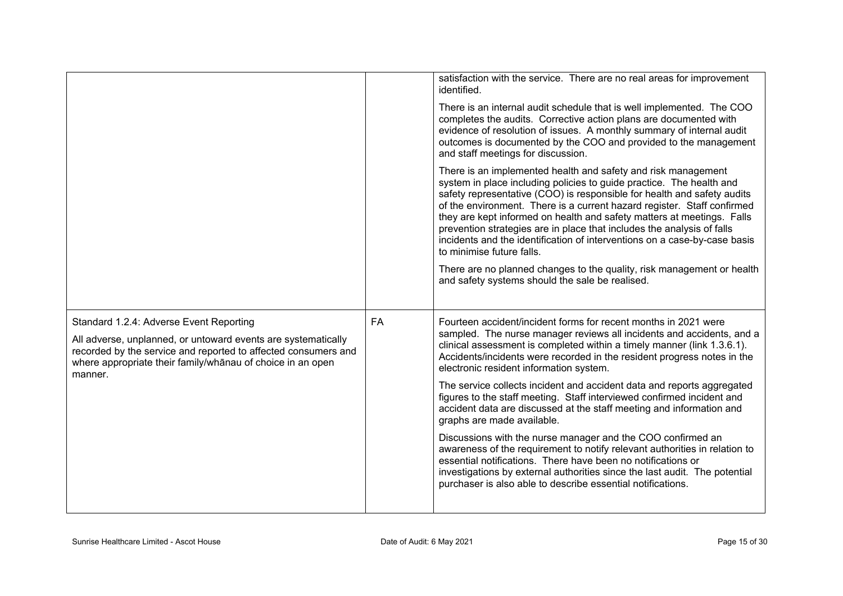|                                                                                                                                                                                                                                                     |    | satisfaction with the service. There are no real areas for improvement<br>identified.<br>There is an internal audit schedule that is well implemented. The COO<br>completes the audits. Corrective action plans are documented with<br>evidence of resolution of issues. A monthly summary of internal audit<br>outcomes is documented by the COO and provided to the management<br>and staff meetings for discussion.<br>There is an implemented health and safety and risk management<br>system in place including policies to guide practice. The health and<br>safety representative (COO) is responsible for health and safety audits<br>of the environment. There is a current hazard register. Staff confirmed<br>they are kept informed on health and safety matters at meetings. Falls<br>prevention strategies are in place that includes the analysis of falls<br>incidents and the identification of interventions on a case-by-case basis<br>to minimise future falls.<br>There are no planned changes to the quality, risk management or health<br>and safety systems should the sale be realised. |
|-----------------------------------------------------------------------------------------------------------------------------------------------------------------------------------------------------------------------------------------------------|----|------------------------------------------------------------------------------------------------------------------------------------------------------------------------------------------------------------------------------------------------------------------------------------------------------------------------------------------------------------------------------------------------------------------------------------------------------------------------------------------------------------------------------------------------------------------------------------------------------------------------------------------------------------------------------------------------------------------------------------------------------------------------------------------------------------------------------------------------------------------------------------------------------------------------------------------------------------------------------------------------------------------------------------------------------------------------------------------------------------------|
| Standard 1.2.4: Adverse Event Reporting<br>All adverse, unplanned, or untoward events are systematically<br>recorded by the service and reported to affected consumers and<br>where appropriate their family/whanau of choice in an open<br>manner. | FA | Fourteen accident/incident forms for recent months in 2021 were<br>sampled. The nurse manager reviews all incidents and accidents, and a<br>clinical assessment is completed within a timely manner (link 1.3.6.1).<br>Accidents/incidents were recorded in the resident progress notes in the<br>electronic resident information system.<br>The service collects incident and accident data and reports aggregated<br>figures to the staff meeting. Staff interviewed confirmed incident and<br>accident data are discussed at the staff meeting and information and<br>graphs are made available.<br>Discussions with the nurse manager and the COO confirmed an<br>awareness of the requirement to notify relevant authorities in relation to<br>essential notifications. There have been no notifications or<br>investigations by external authorities since the last audit. The potential<br>purchaser is also able to describe essential notifications.                                                                                                                                                    |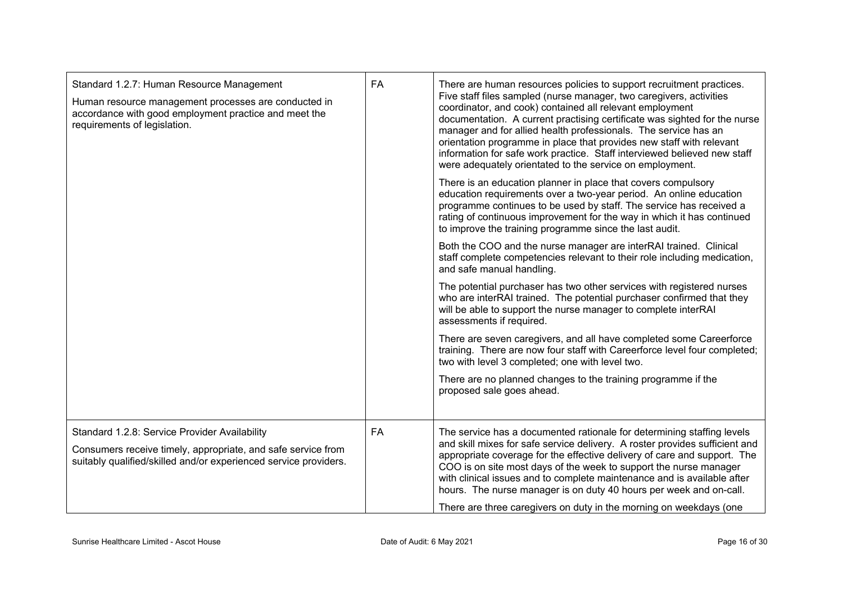| Standard 1.2.7: Human Resource Management<br>Human resource management processes are conducted in<br>accordance with good employment practice and meet the<br>requirements of legislation. | <b>FA</b> | There are human resources policies to support recruitment practices.<br>Five staff files sampled (nurse manager, two caregivers, activities<br>coordinator, and cook) contained all relevant employment<br>documentation. A current practising certificate was sighted for the nurse<br>manager and for allied health professionals. The service has an<br>orientation programme in place that provides new staff with relevant<br>information for safe work practice. Staff interviewed believed new staff<br>were adequately orientated to the service on employment.<br>There is an education planner in place that covers compulsory<br>education requirements over a two-year period. An online education<br>programme continues to be used by staff. The service has received a<br>rating of continuous improvement for the way in which it has continued<br>to improve the training programme since the last audit.<br>Both the COO and the nurse manager are interRAI trained. Clinical<br>staff complete competencies relevant to their role including medication,<br>and safe manual handling.<br>The potential purchaser has two other services with registered nurses<br>who are interRAI trained. The potential purchaser confirmed that they<br>will be able to support the nurse manager to complete interRAI<br>assessments if required.<br>There are seven caregivers, and all have completed some Careerforce<br>training. There are now four staff with Careerforce level four completed;<br>two with level 3 completed; one with level two.<br>There are no planned changes to the training programme if the<br>proposed sale goes ahead. |
|--------------------------------------------------------------------------------------------------------------------------------------------------------------------------------------------|-----------|---------------------------------------------------------------------------------------------------------------------------------------------------------------------------------------------------------------------------------------------------------------------------------------------------------------------------------------------------------------------------------------------------------------------------------------------------------------------------------------------------------------------------------------------------------------------------------------------------------------------------------------------------------------------------------------------------------------------------------------------------------------------------------------------------------------------------------------------------------------------------------------------------------------------------------------------------------------------------------------------------------------------------------------------------------------------------------------------------------------------------------------------------------------------------------------------------------------------------------------------------------------------------------------------------------------------------------------------------------------------------------------------------------------------------------------------------------------------------------------------------------------------------------------------------------------------------------------------------------------------------------------------------------------|
| Standard 1.2.8: Service Provider Availability<br>Consumers receive timely, appropriate, and safe service from<br>suitably qualified/skilled and/or experienced service providers.          | FA        | The service has a documented rationale for determining staffing levels<br>and skill mixes for safe service delivery. A roster provides sufficient and<br>appropriate coverage for the effective delivery of care and support. The<br>COO is on site most days of the week to support the nurse manager<br>with clinical issues and to complete maintenance and is available after<br>hours. The nurse manager is on duty 40 hours per week and on-call.<br>There are three caregivers on duty in the morning on weekdays (one                                                                                                                                                                                                                                                                                                                                                                                                                                                                                                                                                                                                                                                                                                                                                                                                                                                                                                                                                                                                                                                                                                                                 |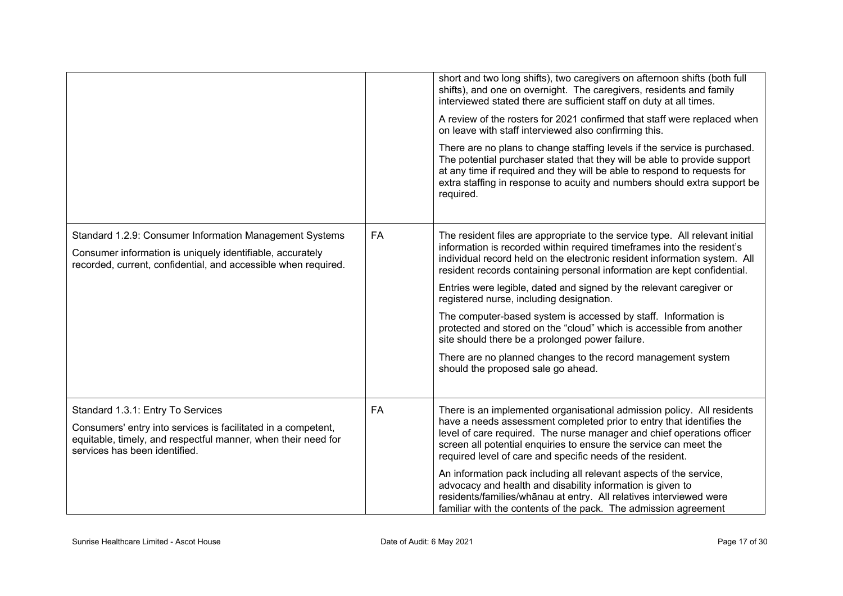|                                                                                                                                                                                                      |           | short and two long shifts), two caregivers on afternoon shifts (both full<br>shifts), and one on overnight. The caregivers, residents and family<br>interviewed stated there are sufficient staff on duty at all times.<br>A review of the rosters for 2021 confirmed that staff were replaced when<br>on leave with staff interviewed also confirming this.<br>There are no plans to change staffing levels if the service is purchased.<br>The potential purchaser stated that they will be able to provide support<br>at any time if required and they will be able to respond to requests for<br>extra staffing in response to acuity and numbers should extra support be<br>required.                                           |
|------------------------------------------------------------------------------------------------------------------------------------------------------------------------------------------------------|-----------|--------------------------------------------------------------------------------------------------------------------------------------------------------------------------------------------------------------------------------------------------------------------------------------------------------------------------------------------------------------------------------------------------------------------------------------------------------------------------------------------------------------------------------------------------------------------------------------------------------------------------------------------------------------------------------------------------------------------------------------|
| Standard 1.2.9: Consumer Information Management Systems<br>Consumer information is uniquely identifiable, accurately<br>recorded, current, confidential, and accessible when required.               | <b>FA</b> | The resident files are appropriate to the service type. All relevant initial<br>information is recorded within required timeframes into the resident's<br>individual record held on the electronic resident information system. All<br>resident records containing personal information are kept confidential.<br>Entries were legible, dated and signed by the relevant caregiver or<br>registered nurse, including designation.<br>The computer-based system is accessed by staff. Information is<br>protected and stored on the "cloud" which is accessible from another<br>site should there be a prolonged power failure.<br>There are no planned changes to the record management system<br>should the proposed sale go ahead. |
| Standard 1.3.1: Entry To Services<br>Consumers' entry into services is facilitated in a competent,<br>equitable, timely, and respectful manner, when their need for<br>services has been identified. | <b>FA</b> | There is an implemented organisational admission policy. All residents<br>have a needs assessment completed prior to entry that identifies the<br>level of care required. The nurse manager and chief operations officer<br>screen all potential enquiries to ensure the service can meet the<br>required level of care and specific needs of the resident.<br>An information pack including all relevant aspects of the service,<br>advocacy and health and disability information is given to<br>residents/families/whānau at entry. All relatives interviewed were<br>familiar with the contents of the pack. The admission agreement                                                                                             |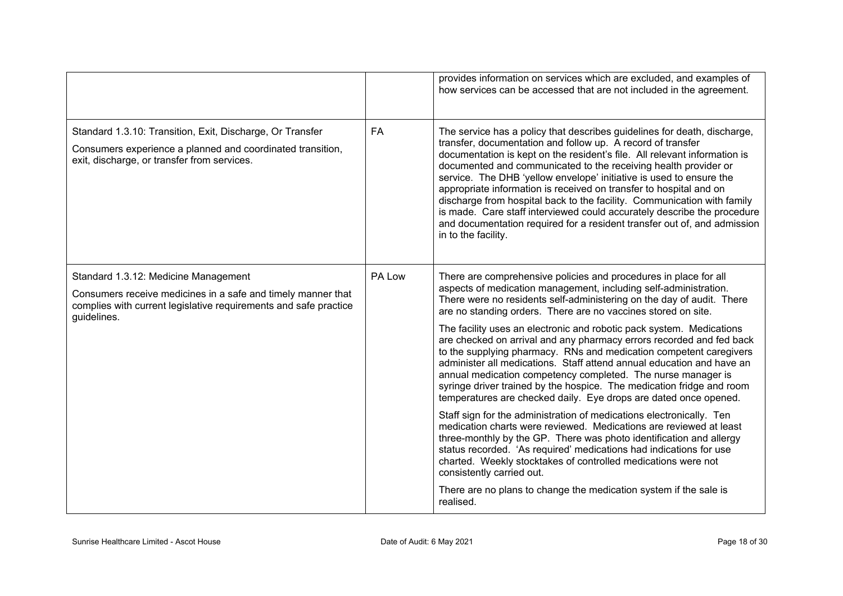|                                                                                                                                                                                         |           | provides information on services which are excluded, and examples of<br>how services can be accessed that are not included in the agreement.                                                                                                                                                                                                                                                                                                                                                                                                                                                                                                                                                                                                                                                                                                                                                                                                                                                                                                                                                                                                                                        |
|-----------------------------------------------------------------------------------------------------------------------------------------------------------------------------------------|-----------|-------------------------------------------------------------------------------------------------------------------------------------------------------------------------------------------------------------------------------------------------------------------------------------------------------------------------------------------------------------------------------------------------------------------------------------------------------------------------------------------------------------------------------------------------------------------------------------------------------------------------------------------------------------------------------------------------------------------------------------------------------------------------------------------------------------------------------------------------------------------------------------------------------------------------------------------------------------------------------------------------------------------------------------------------------------------------------------------------------------------------------------------------------------------------------------|
| Standard 1.3.10: Transition, Exit, Discharge, Or Transfer<br>Consumers experience a planned and coordinated transition,<br>exit, discharge, or transfer from services.                  | <b>FA</b> | The service has a policy that describes guidelines for death, discharge,<br>transfer, documentation and follow up. A record of transfer<br>documentation is kept on the resident's file. All relevant information is<br>documented and communicated to the receiving health provider or<br>service. The DHB 'yellow envelope' initiative is used to ensure the<br>appropriate information is received on transfer to hospital and on<br>discharge from hospital back to the facility. Communication with family<br>is made. Care staff interviewed could accurately describe the procedure<br>and documentation required for a resident transfer out of, and admission<br>in to the facility.                                                                                                                                                                                                                                                                                                                                                                                                                                                                                       |
| Standard 1.3.12: Medicine Management<br>Consumers receive medicines in a safe and timely manner that<br>complies with current legislative requirements and safe practice<br>guidelines. | PA Low    | There are comprehensive policies and procedures in place for all<br>aspects of medication management, including self-administration.<br>There were no residents self-administering on the day of audit. There<br>are no standing orders. There are no vaccines stored on site.<br>The facility uses an electronic and robotic pack system. Medications<br>are checked on arrival and any pharmacy errors recorded and fed back<br>to the supplying pharmacy. RNs and medication competent caregivers<br>administer all medications. Staff attend annual education and have an<br>annual medication competency completed. The nurse manager is<br>syringe driver trained by the hospice. The medication fridge and room<br>temperatures are checked daily. Eye drops are dated once opened.<br>Staff sign for the administration of medications electronically. Ten<br>medication charts were reviewed. Medications are reviewed at least<br>three-monthly by the GP. There was photo identification and allergy<br>status recorded. 'As required' medications had indications for use<br>charted. Weekly stocktakes of controlled medications were not<br>consistently carried out. |
|                                                                                                                                                                                         |           | There are no plans to change the medication system if the sale is<br>realised.                                                                                                                                                                                                                                                                                                                                                                                                                                                                                                                                                                                                                                                                                                                                                                                                                                                                                                                                                                                                                                                                                                      |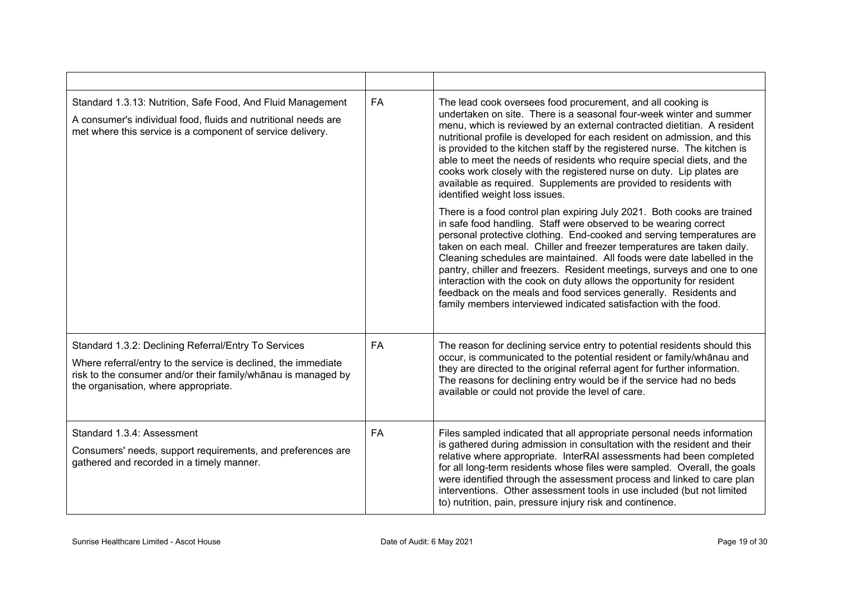| Standard 1.3.13: Nutrition, Safe Food, And Fluid Management<br>A consumer's individual food, fluids and nutritional needs are<br>met where this service is a component of service delivery.                                     | <b>FA</b> | The lead cook oversees food procurement, and all cooking is<br>undertaken on site. There is a seasonal four-week winter and summer<br>menu, which is reviewed by an external contracted dietitian. A resident<br>nutritional profile is developed for each resident on admission, and this<br>is provided to the kitchen staff by the registered nurse. The kitchen is<br>able to meet the needs of residents who require special diets, and the<br>cooks work closely with the registered nurse on duty. Lip plates are<br>available as required. Supplements are provided to residents with<br>identified weight loss issues.                                     |
|---------------------------------------------------------------------------------------------------------------------------------------------------------------------------------------------------------------------------------|-----------|---------------------------------------------------------------------------------------------------------------------------------------------------------------------------------------------------------------------------------------------------------------------------------------------------------------------------------------------------------------------------------------------------------------------------------------------------------------------------------------------------------------------------------------------------------------------------------------------------------------------------------------------------------------------|
|                                                                                                                                                                                                                                 |           | There is a food control plan expiring July 2021. Both cooks are trained<br>in safe food handling. Staff were observed to be wearing correct<br>personal protective clothing. End-cooked and serving temperatures are<br>taken on each meal. Chiller and freezer temperatures are taken daily.<br>Cleaning schedules are maintained. All foods were date labelled in the<br>pantry, chiller and freezers. Resident meetings, surveys and one to one<br>interaction with the cook on duty allows the opportunity for resident<br>feedback on the meals and food services generally. Residents and<br>family members interviewed indicated satisfaction with the food. |
| Standard 1.3.2: Declining Referral/Entry To Services<br>Where referral/entry to the service is declined, the immediate<br>risk to the consumer and/or their family/whānau is managed by<br>the organisation, where appropriate. | <b>FA</b> | The reason for declining service entry to potential residents should this<br>occur, is communicated to the potential resident or family/whanau and<br>they are directed to the original referral agent for further information.<br>The reasons for declining entry would be if the service had no beds<br>available or could not provide the level of care.                                                                                                                                                                                                                                                                                                         |
| Standard 1.3.4: Assessment<br>Consumers' needs, support requirements, and preferences are<br>gathered and recorded in a timely manner.                                                                                          | <b>FA</b> | Files sampled indicated that all appropriate personal needs information<br>is gathered during admission in consultation with the resident and their<br>relative where appropriate. InterRAI assessments had been completed<br>for all long-term residents whose files were sampled. Overall, the goals<br>were identified through the assessment process and linked to care plan<br>interventions. Other assessment tools in use included (but not limited<br>to) nutrition, pain, pressure injury risk and continence.                                                                                                                                             |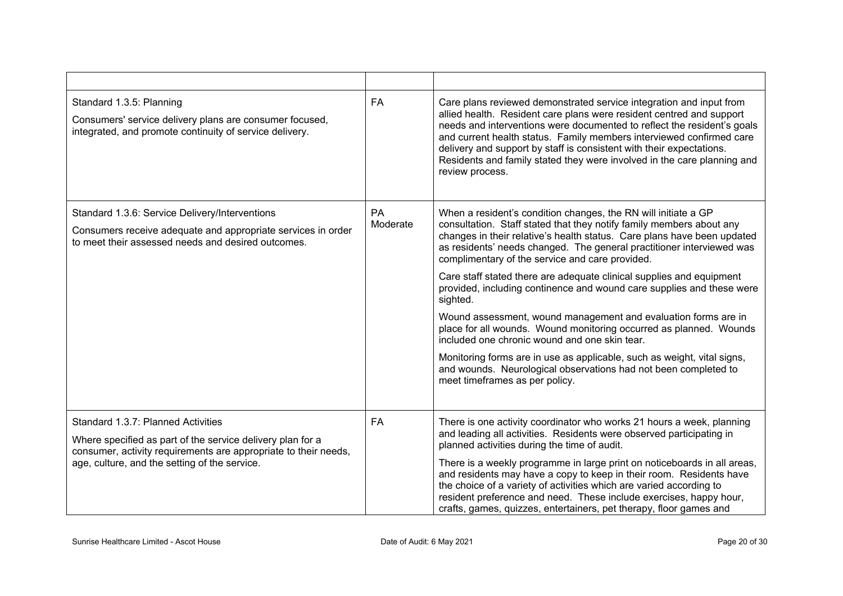| Standard 1.3.5: Planning<br>Consumers' service delivery plans are consumer focused,<br>integrated, and promote continuity of service delivery.                                                                       | <b>FA</b>      | Care plans reviewed demonstrated service integration and input from<br>allied health. Resident care plans were resident centred and support<br>needs and interventions were documented to reflect the resident's goals<br>and current health status. Family members interviewed confirmed care<br>delivery and support by staff is consistent with their expectations.<br>Residents and family stated they were involved in the care planning and<br>review process.                                                                                                                                                                                                                                                                                                                                                                                                                |
|----------------------------------------------------------------------------------------------------------------------------------------------------------------------------------------------------------------------|----------------|-------------------------------------------------------------------------------------------------------------------------------------------------------------------------------------------------------------------------------------------------------------------------------------------------------------------------------------------------------------------------------------------------------------------------------------------------------------------------------------------------------------------------------------------------------------------------------------------------------------------------------------------------------------------------------------------------------------------------------------------------------------------------------------------------------------------------------------------------------------------------------------|
| Standard 1.3.6: Service Delivery/Interventions<br>Consumers receive adequate and appropriate services in order<br>to meet their assessed needs and desired outcomes.                                                 | PA<br>Moderate | When a resident's condition changes, the RN will initiate a GP<br>consultation. Staff stated that they notify family members about any<br>changes in their relative's health status. Care plans have been updated<br>as residents' needs changed. The general practitioner interviewed was<br>complimentary of the service and care provided.<br>Care staff stated there are adequate clinical supplies and equipment<br>provided, including continence and wound care supplies and these were<br>sighted.<br>Wound assessment, wound management and evaluation forms are in<br>place for all wounds. Wound monitoring occurred as planned. Wounds<br>included one chronic wound and one skin tear.<br>Monitoring forms are in use as applicable, such as weight, vital signs,<br>and wounds. Neurological observations had not been completed to<br>meet timeframes as per policy. |
| Standard 1.3.7: Planned Activities<br>Where specified as part of the service delivery plan for a<br>consumer, activity requirements are appropriate to their needs,<br>age, culture, and the setting of the service. | FA             | There is one activity coordinator who works 21 hours a week, planning<br>and leading all activities. Residents were observed participating in<br>planned activities during the time of audit.<br>There is a weekly programme in large print on noticeboards in all areas,<br>and residents may have a copy to keep in their room. Residents have<br>the choice of a variety of activities which are varied according to<br>resident preference and need. These include exercises, happy hour,<br>crafts, games, quizzes, entertainers, pet therapy, floor games and                                                                                                                                                                                                                                                                                                                 |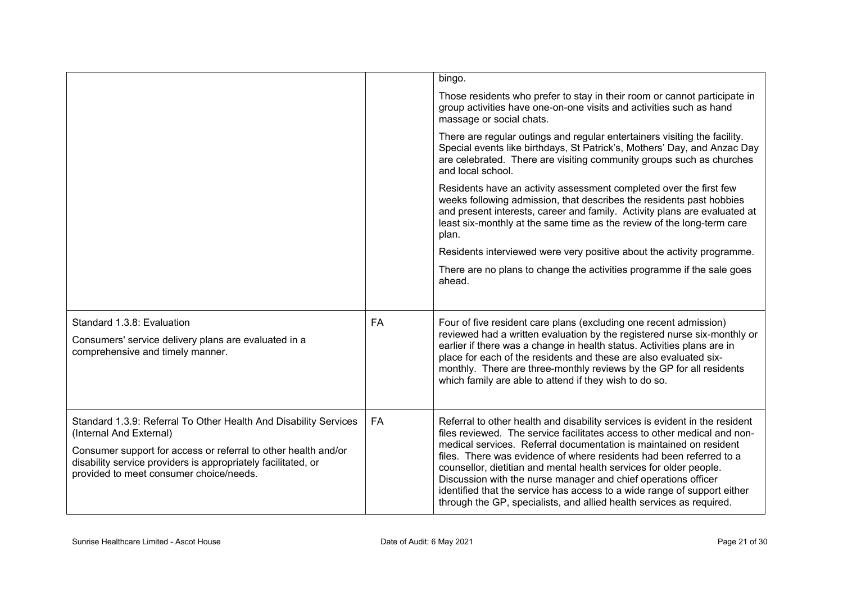|                                                                                                                                                                                                                                                                           |           | bingo.                                                                                                                                                                                                                                                                                                                                                                                                                                                                                                                                                                                           |
|---------------------------------------------------------------------------------------------------------------------------------------------------------------------------------------------------------------------------------------------------------------------------|-----------|--------------------------------------------------------------------------------------------------------------------------------------------------------------------------------------------------------------------------------------------------------------------------------------------------------------------------------------------------------------------------------------------------------------------------------------------------------------------------------------------------------------------------------------------------------------------------------------------------|
|                                                                                                                                                                                                                                                                           |           | Those residents who prefer to stay in their room or cannot participate in<br>group activities have one-on-one visits and activities such as hand<br>massage or social chats.                                                                                                                                                                                                                                                                                                                                                                                                                     |
|                                                                                                                                                                                                                                                                           |           | There are regular outings and regular entertainers visiting the facility.<br>Special events like birthdays, St Patrick's, Mothers' Day, and Anzac Day<br>are celebrated. There are visiting community groups such as churches<br>and local school.                                                                                                                                                                                                                                                                                                                                               |
|                                                                                                                                                                                                                                                                           |           | Residents have an activity assessment completed over the first few<br>weeks following admission, that describes the residents past hobbies<br>and present interests, career and family. Activity plans are evaluated at<br>least six-monthly at the same time as the review of the long-term care<br>plan.                                                                                                                                                                                                                                                                                       |
|                                                                                                                                                                                                                                                                           |           | Residents interviewed were very positive about the activity programme.                                                                                                                                                                                                                                                                                                                                                                                                                                                                                                                           |
|                                                                                                                                                                                                                                                                           |           | There are no plans to change the activities programme if the sale goes<br>ahead.                                                                                                                                                                                                                                                                                                                                                                                                                                                                                                                 |
| Standard 1.3.8: Evaluation<br>Consumers' service delivery plans are evaluated in a<br>comprehensive and timely manner.                                                                                                                                                    | <b>FA</b> | Four of five resident care plans (excluding one recent admission)<br>reviewed had a written evaluation by the registered nurse six-monthly or<br>earlier if there was a change in health status. Activities plans are in<br>place for each of the residents and these are also evaluated six-<br>monthly. There are three-monthly reviews by the GP for all residents<br>which family are able to attend if they wish to do so.                                                                                                                                                                  |
| Standard 1.3.9: Referral To Other Health And Disability Services<br>(Internal And External)<br>Consumer support for access or referral to other health and/or<br>disability service providers is appropriately facilitated, or<br>provided to meet consumer choice/needs. | FA        | Referral to other health and disability services is evident in the resident<br>files reviewed. The service facilitates access to other medical and non-<br>medical services. Referral documentation is maintained on resident<br>files. There was evidence of where residents had been referred to a<br>counsellor, dietitian and mental health services for older people.<br>Discussion with the nurse manager and chief operations officer<br>identified that the service has access to a wide range of support either<br>through the GP, specialists, and allied health services as required. |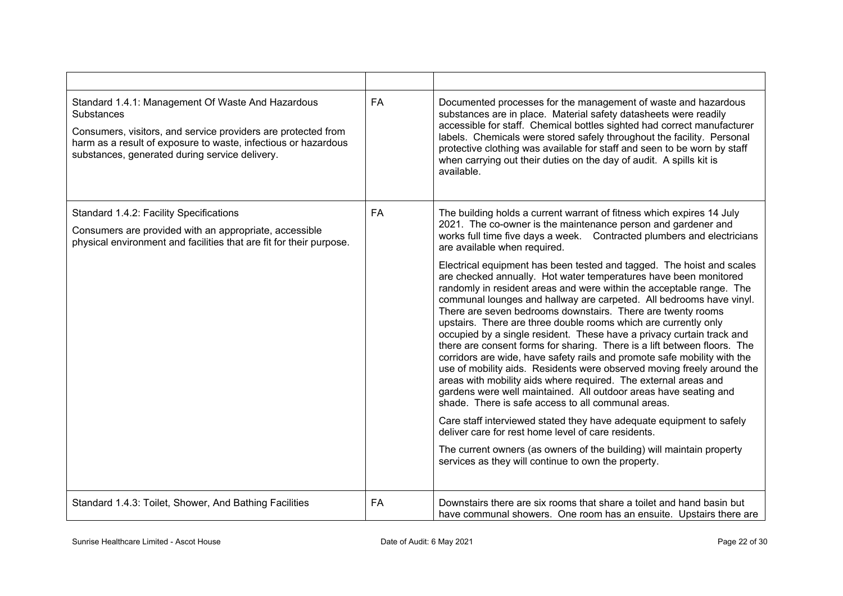| Standard 1.4.1: Management Of Waste And Hazardous<br><b>Substances</b><br>Consumers, visitors, and service providers are protected from<br>harm as a result of exposure to waste, infectious or hazardous<br>substances, generated during service delivery. | FA        | Documented processes for the management of waste and hazardous<br>substances are in place. Material safety datasheets were readily<br>accessible for staff. Chemical bottles sighted had correct manufacturer<br>labels. Chemicals were stored safely throughout the facility. Personal<br>protective clothing was available for staff and seen to be worn by staff<br>when carrying out their duties on the day of audit. A spills kit is<br>available.                                                                                                                                                                                                                                                                                                                                                                                                                                                                                                                                                                                                                                                                                                                                          |
|-------------------------------------------------------------------------------------------------------------------------------------------------------------------------------------------------------------------------------------------------------------|-----------|---------------------------------------------------------------------------------------------------------------------------------------------------------------------------------------------------------------------------------------------------------------------------------------------------------------------------------------------------------------------------------------------------------------------------------------------------------------------------------------------------------------------------------------------------------------------------------------------------------------------------------------------------------------------------------------------------------------------------------------------------------------------------------------------------------------------------------------------------------------------------------------------------------------------------------------------------------------------------------------------------------------------------------------------------------------------------------------------------------------------------------------------------------------------------------------------------|
| Standard 1.4.2: Facility Specifications<br>Consumers are provided with an appropriate, accessible<br>physical environment and facilities that are fit for their purpose.                                                                                    | <b>FA</b> | The building holds a current warrant of fitness which expires 14 July<br>2021. The co-owner is the maintenance person and gardener and<br>works full time five days a week. Contracted plumbers and electricians<br>are available when required.                                                                                                                                                                                                                                                                                                                                                                                                                                                                                                                                                                                                                                                                                                                                                                                                                                                                                                                                                  |
|                                                                                                                                                                                                                                                             |           | Electrical equipment has been tested and tagged. The hoist and scales<br>are checked annually. Hot water temperatures have been monitored<br>randomly in resident areas and were within the acceptable range. The<br>communal lounges and hallway are carpeted. All bedrooms have vinyl.<br>There are seven bedrooms downstairs. There are twenty rooms<br>upstairs. There are three double rooms which are currently only<br>occupied by a single resident. These have a privacy curtain track and<br>there are consent forms for sharing. There is a lift between floors. The<br>corridors are wide, have safety rails and promote safe mobility with the<br>use of mobility aids. Residents were observed moving freely around the<br>areas with mobility aids where required. The external areas and<br>gardens were well maintained. All outdoor areas have seating and<br>shade. There is safe access to all communal areas.<br>Care staff interviewed stated they have adequate equipment to safely<br>deliver care for rest home level of care residents.<br>The current owners (as owners of the building) will maintain property<br>services as they will continue to own the property. |
| Standard 1.4.3: Toilet, Shower, And Bathing Facilities                                                                                                                                                                                                      | <b>FA</b> | Downstairs there are six rooms that share a toilet and hand basin but<br>have communal showers. One room has an ensuite. Upstairs there are                                                                                                                                                                                                                                                                                                                                                                                                                                                                                                                                                                                                                                                                                                                                                                                                                                                                                                                                                                                                                                                       |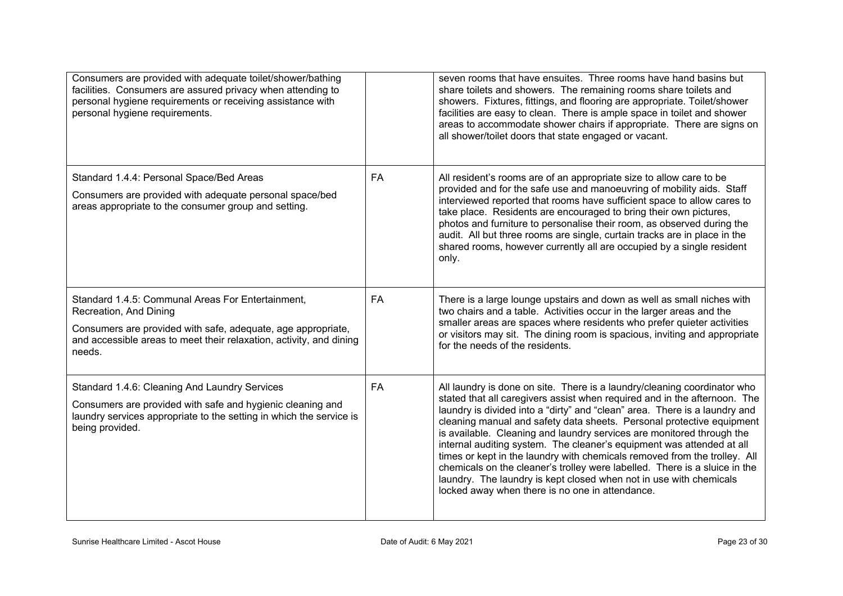| Consumers are provided with adequate toilet/shower/bathing<br>facilities. Consumers are assured privacy when attending to<br>personal hygiene requirements or receiving assistance with<br>personal hygiene requirements.    |           | seven rooms that have ensuites. Three rooms have hand basins but<br>share toilets and showers. The remaining rooms share toilets and<br>showers. Fixtures, fittings, and flooring are appropriate. Toilet/shower<br>facilities are easy to clean. There is ample space in toilet and shower<br>areas to accommodate shower chairs if appropriate. There are signs on<br>all shower/toilet doors that state engaged or vacant.                                                                                                                                                                                                                                                                                                                      |
|------------------------------------------------------------------------------------------------------------------------------------------------------------------------------------------------------------------------------|-----------|----------------------------------------------------------------------------------------------------------------------------------------------------------------------------------------------------------------------------------------------------------------------------------------------------------------------------------------------------------------------------------------------------------------------------------------------------------------------------------------------------------------------------------------------------------------------------------------------------------------------------------------------------------------------------------------------------------------------------------------------------|
| Standard 1.4.4: Personal Space/Bed Areas<br>Consumers are provided with adequate personal space/bed<br>areas appropriate to the consumer group and setting.                                                                  | <b>FA</b> | All resident's rooms are of an appropriate size to allow care to be<br>provided and for the safe use and manoeuvring of mobility aids. Staff<br>interviewed reported that rooms have sufficient space to allow cares to<br>take place. Residents are encouraged to bring their own pictures,<br>photos and furniture to personalise their room, as observed during the<br>audit. All but three rooms are single, curtain tracks are in place in the<br>shared rooms, however currently all are occupied by a single resident<br>only.                                                                                                                                                                                                              |
| Standard 1.4.5: Communal Areas For Entertainment,<br>Recreation, And Dining<br>Consumers are provided with safe, adequate, age appropriate,<br>and accessible areas to meet their relaxation, activity, and dining<br>needs. | FA        | There is a large lounge upstairs and down as well as small niches with<br>two chairs and a table. Activities occur in the larger areas and the<br>smaller areas are spaces where residents who prefer quieter activities<br>or visitors may sit. The dining room is spacious, inviting and appropriate<br>for the needs of the residents.                                                                                                                                                                                                                                                                                                                                                                                                          |
| Standard 1.4.6: Cleaning And Laundry Services<br>Consumers are provided with safe and hygienic cleaning and<br>laundry services appropriate to the setting in which the service is<br>being provided.                        | <b>FA</b> | All laundry is done on site. There is a laundry/cleaning coordinator who<br>stated that all caregivers assist when required and in the afternoon. The<br>laundry is divided into a "dirty" and "clean" area. There is a laundry and<br>cleaning manual and safety data sheets. Personal protective equipment<br>is available. Cleaning and laundry services are monitored through the<br>internal auditing system. The cleaner's equipment was attended at all<br>times or kept in the laundry with chemicals removed from the trolley. All<br>chemicals on the cleaner's trolley were labelled. There is a sluice in the<br>laundry. The laundry is kept closed when not in use with chemicals<br>locked away when there is no one in attendance. |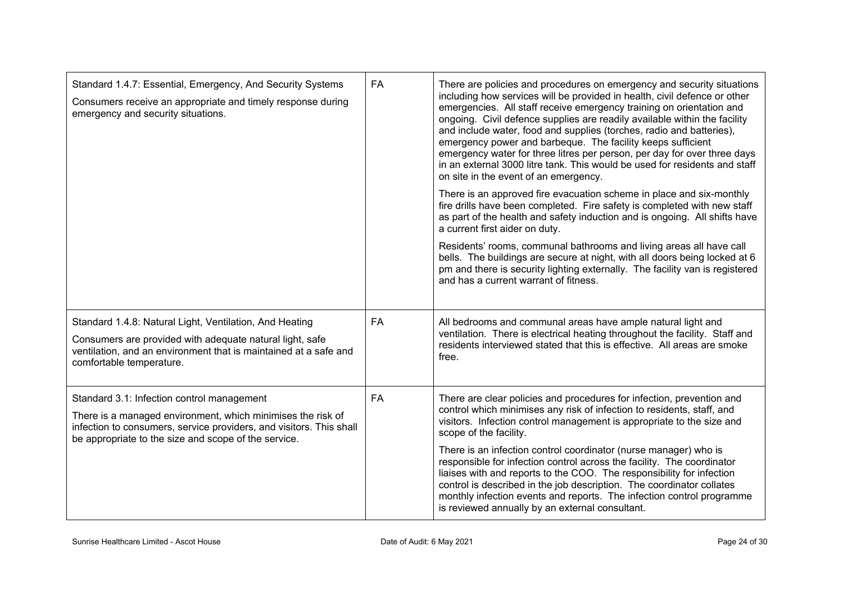| Standard 1.4.7: Essential, Emergency, And Security Systems<br>Consumers receive an appropriate and timely response during<br>emergency and security situations.                                                                          | <b>FA</b> | There are policies and procedures on emergency and security situations<br>including how services will be provided in health, civil defence or other<br>emergencies. All staff receive emergency training on orientation and<br>ongoing. Civil defence supplies are readily available within the facility<br>and include water, food and supplies (torches, radio and batteries),<br>emergency power and barbeque. The facility keeps sufficient<br>emergency water for three litres per person, per day for over three days<br>in an external 3000 litre tank. This would be used for residents and staff<br>on site in the event of an emergency.<br>There is an approved fire evacuation scheme in place and six-monthly<br>fire drills have been completed. Fire safety is completed with new staff<br>as part of the health and safety induction and is ongoing. All shifts have<br>a current first aider on duty.<br>Residents' rooms, communal bathrooms and living areas all have call<br>bells. The buildings are secure at night, with all doors being locked at 6<br>pm and there is security lighting externally. The facility van is registered |
|------------------------------------------------------------------------------------------------------------------------------------------------------------------------------------------------------------------------------------------|-----------|-------------------------------------------------------------------------------------------------------------------------------------------------------------------------------------------------------------------------------------------------------------------------------------------------------------------------------------------------------------------------------------------------------------------------------------------------------------------------------------------------------------------------------------------------------------------------------------------------------------------------------------------------------------------------------------------------------------------------------------------------------------------------------------------------------------------------------------------------------------------------------------------------------------------------------------------------------------------------------------------------------------------------------------------------------------------------------------------------------------------------------------------------------------|
| Standard 1.4.8: Natural Light, Ventilation, And Heating                                                                                                                                                                                  | <b>FA</b> | and has a current warrant of fitness.<br>All bedrooms and communal areas have ample natural light and                                                                                                                                                                                                                                                                                                                                                                                                                                                                                                                                                                                                                                                                                                                                                                                                                                                                                                                                                                                                                                                       |
| Consumers are provided with adequate natural light, safe<br>ventilation, and an environment that is maintained at a safe and<br>comfortable temperature.                                                                                 |           | ventilation. There is electrical heating throughout the facility. Staff and<br>residents interviewed stated that this is effective. All areas are smoke<br>free.                                                                                                                                                                                                                                                                                                                                                                                                                                                                                                                                                                                                                                                                                                                                                                                                                                                                                                                                                                                            |
| Standard 3.1: Infection control management<br>There is a managed environment, which minimises the risk of<br>infection to consumers, service providers, and visitors. This shall<br>be appropriate to the size and scope of the service. | <b>FA</b> | There are clear policies and procedures for infection, prevention and<br>control which minimises any risk of infection to residents, staff, and<br>visitors. Infection control management is appropriate to the size and<br>scope of the facility.                                                                                                                                                                                                                                                                                                                                                                                                                                                                                                                                                                                                                                                                                                                                                                                                                                                                                                          |
|                                                                                                                                                                                                                                          |           | There is an infection control coordinator (nurse manager) who is<br>responsible for infection control across the facility. The coordinator<br>liaises with and reports to the COO. The responsibility for infection<br>control is described in the job description. The coordinator collates<br>monthly infection events and reports. The infection control programme<br>is reviewed annually by an external consultant.                                                                                                                                                                                                                                                                                                                                                                                                                                                                                                                                                                                                                                                                                                                                    |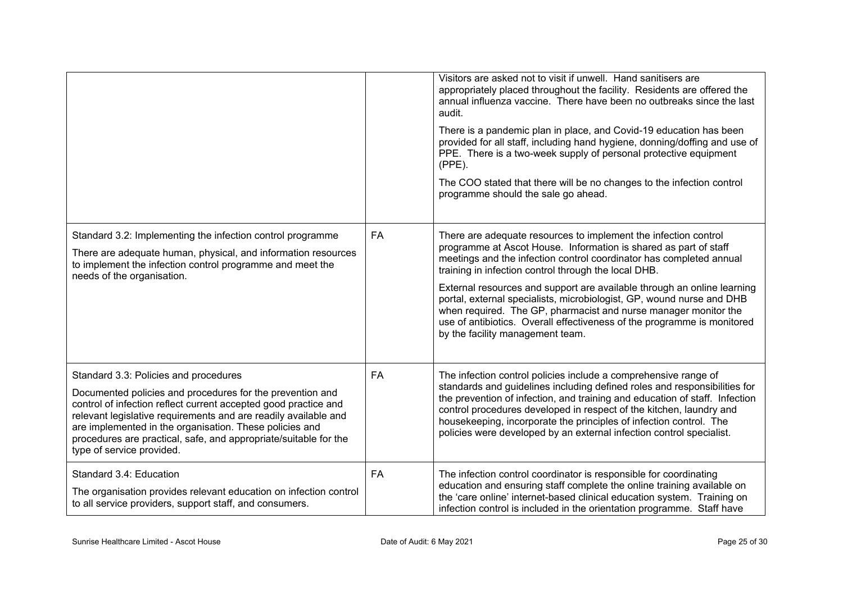|                                                                                                                                                                                                                                                                                                                                                                                                      |           | Visitors are asked not to visit if unwell. Hand sanitisers are<br>appropriately placed throughout the facility. Residents are offered the<br>annual influenza vaccine. There have been no outbreaks since the last<br>audit.<br>There is a pandemic plan in place, and Covid-19 education has been<br>provided for all staff, including hand hygiene, donning/doffing and use of<br>PPE. There is a two-week supply of personal protective equipment<br>$(PPE)$ .<br>The COO stated that there will be no changes to the infection control<br>programme should the sale go ahead.                        |
|------------------------------------------------------------------------------------------------------------------------------------------------------------------------------------------------------------------------------------------------------------------------------------------------------------------------------------------------------------------------------------------------------|-----------|----------------------------------------------------------------------------------------------------------------------------------------------------------------------------------------------------------------------------------------------------------------------------------------------------------------------------------------------------------------------------------------------------------------------------------------------------------------------------------------------------------------------------------------------------------------------------------------------------------|
| Standard 3.2: Implementing the infection control programme<br>There are adequate human, physical, and information resources<br>to implement the infection control programme and meet the<br>needs of the organisation.                                                                                                                                                                               | <b>FA</b> | There are adequate resources to implement the infection control<br>programme at Ascot House. Information is shared as part of staff<br>meetings and the infection control coordinator has completed annual<br>training in infection control through the local DHB.<br>External resources and support are available through an online learning<br>portal, external specialists, microbiologist, GP, wound nurse and DHB<br>when required. The GP, pharmacist and nurse manager monitor the<br>use of antibiotics. Overall effectiveness of the programme is monitored<br>by the facility management team. |
| Standard 3.3: Policies and procedures<br>Documented policies and procedures for the prevention and<br>control of infection reflect current accepted good practice and<br>relevant legislative requirements and are readily available and<br>are implemented in the organisation. These policies and<br>procedures are practical, safe, and appropriate/suitable for the<br>type of service provided. | <b>FA</b> | The infection control policies include a comprehensive range of<br>standards and guidelines including defined roles and responsibilities for<br>the prevention of infection, and training and education of staff. Infection<br>control procedures developed in respect of the kitchen, laundry and<br>housekeeping, incorporate the principles of infection control. The<br>policies were developed by an external infection control specialist.                                                                                                                                                         |
| Standard 3.4: Education<br>The organisation provides relevant education on infection control<br>to all service providers, support staff, and consumers.                                                                                                                                                                                                                                              | <b>FA</b> | The infection control coordinator is responsible for coordinating<br>education and ensuring staff complete the online training available on<br>the 'care online' internet-based clinical education system. Training on<br>infection control is included in the orientation programme. Staff have                                                                                                                                                                                                                                                                                                         |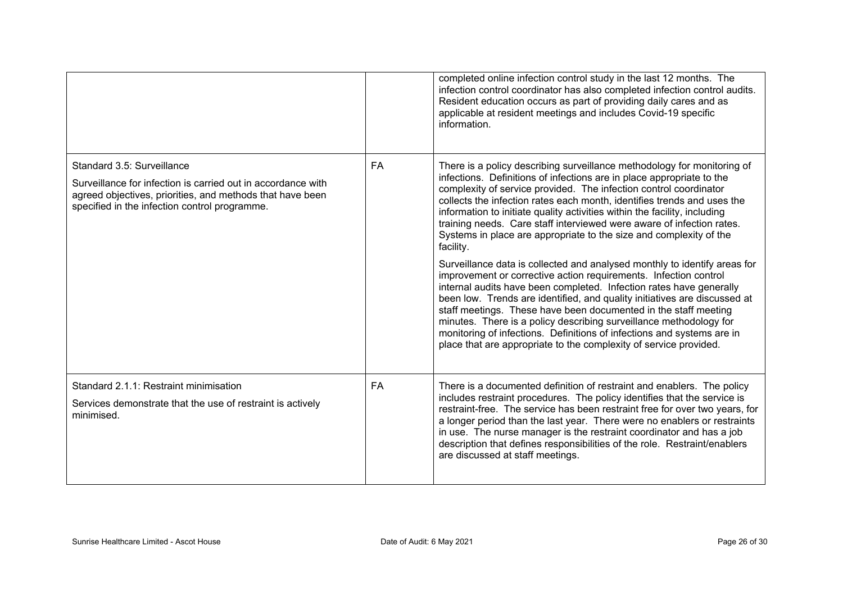|                                                                                                                                                                                                          |           | completed online infection control study in the last 12 months. The<br>infection control coordinator has also completed infection control audits.<br>Resident education occurs as part of providing daily cares and as<br>applicable at resident meetings and includes Covid-19 specific<br>information.                                                                                                                                                                                                                                                                                  |
|----------------------------------------------------------------------------------------------------------------------------------------------------------------------------------------------------------|-----------|-------------------------------------------------------------------------------------------------------------------------------------------------------------------------------------------------------------------------------------------------------------------------------------------------------------------------------------------------------------------------------------------------------------------------------------------------------------------------------------------------------------------------------------------------------------------------------------------|
| Standard 3.5: Surveillance<br>Surveillance for infection is carried out in accordance with<br>agreed objectives, priorities, and methods that have been<br>specified in the infection control programme. | <b>FA</b> | There is a policy describing surveillance methodology for monitoring of<br>infections. Definitions of infections are in place appropriate to the<br>complexity of service provided. The infection control coordinator<br>collects the infection rates each month, identifies trends and uses the<br>information to initiate quality activities within the facility, including<br>training needs. Care staff interviewed were aware of infection rates.<br>Systems in place are appropriate to the size and complexity of the<br>facility.                                                 |
|                                                                                                                                                                                                          |           | Surveillance data is collected and analysed monthly to identify areas for<br>improvement or corrective action requirements. Infection control<br>internal audits have been completed. Infection rates have generally<br>been low. Trends are identified, and quality initiatives are discussed at<br>staff meetings. These have been documented in the staff meeting<br>minutes. There is a policy describing surveillance methodology for<br>monitoring of infections. Definitions of infections and systems are in<br>place that are appropriate to the complexity of service provided. |
| Standard 2.1.1: Restraint minimisation<br>Services demonstrate that the use of restraint is actively<br>minimised.                                                                                       | <b>FA</b> | There is a documented definition of restraint and enablers. The policy<br>includes restraint procedures. The policy identifies that the service is<br>restraint-free. The service has been restraint free for over two years, for<br>a longer period than the last year. There were no enablers or restraints<br>in use. The nurse manager is the restraint coordinator and has a job<br>description that defines responsibilities of the role. Restraint/enablers<br>are discussed at staff meetings.                                                                                    |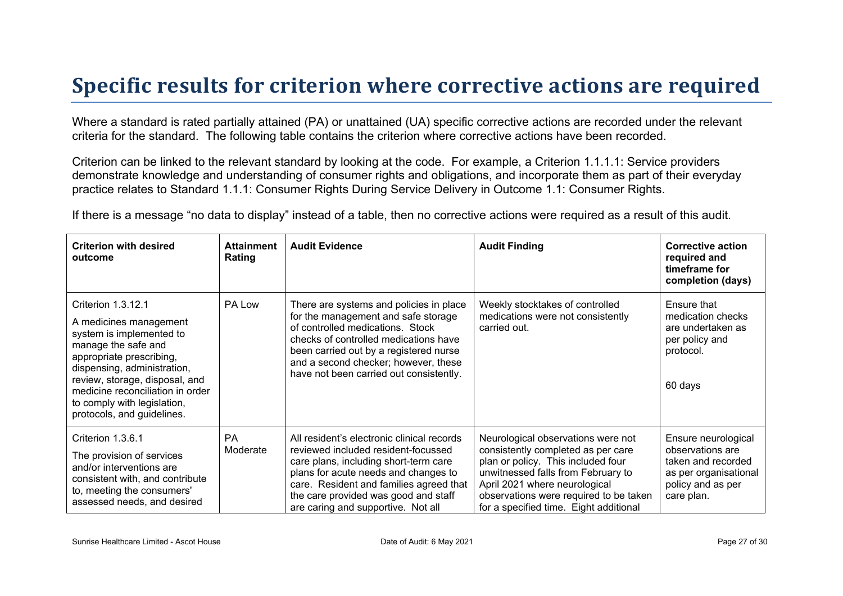# **Specific results for criterion where corrective actions are required**

Where a standard is rated partially attained (PA) or unattained (UA) specific corrective actions are recorded under the relevant criteria for the standard. The following table contains the criterion where corrective actions have been recorded.

Criterion can be linked to the relevant standard by looking at the code. For example, a Criterion 1.1.1.1: Service providers demonstrate knowledge and understanding of consumer rights and obligations, and incorporate them as part of their everyday practice relates to Standard 1.1.1: Consumer Rights During Service Delivery in Outcome 1.1: Consumer Rights.

If there is a message "no data to display" instead of a table, then no corrective actions were required as a result of this audit.

| <b>Criterion with desired</b><br>outcome                                                                                                                                                                                                                                                      | <b>Attainment</b><br>Rating | <b>Audit Evidence</b>                                                                                                                                                                                                                                                                       | <b>Audit Finding</b>                                                                                                                                                                                                                                                      | <b>Corrective action</b><br>required and<br>timeframe for<br>completion (days)                                            |
|-----------------------------------------------------------------------------------------------------------------------------------------------------------------------------------------------------------------------------------------------------------------------------------------------|-----------------------------|---------------------------------------------------------------------------------------------------------------------------------------------------------------------------------------------------------------------------------------------------------------------------------------------|---------------------------------------------------------------------------------------------------------------------------------------------------------------------------------------------------------------------------------------------------------------------------|---------------------------------------------------------------------------------------------------------------------------|
| Criterion 1.3.12.1<br>A medicines management<br>system is implemented to<br>manage the safe and<br>appropriate prescribing,<br>dispensing, administration,<br>review, storage, disposal, and<br>medicine reconciliation in order<br>to comply with legislation,<br>protocols, and guidelines. | PA Low                      | There are systems and policies in place<br>for the management and safe storage<br>of controlled medications. Stock<br>checks of controlled medications have<br>been carried out by a registered nurse<br>and a second checker; however, these<br>have not been carried out consistently.    | Weekly stocktakes of controlled<br>medications were not consistently<br>carried out.                                                                                                                                                                                      | Ensure that<br>medication checks<br>are undertaken as<br>per policy and<br>protocol.<br>60 days                           |
| Criterion 1.3.6.1<br>The provision of services<br>and/or interventions are<br>consistent with, and contribute<br>to, meeting the consumers'<br>assessed needs, and desired                                                                                                                    | <b>PA</b><br>Moderate       | All resident's electronic clinical records<br>reviewed included resident-focussed<br>care plans, including short-term care<br>plans for acute needs and changes to<br>care. Resident and families agreed that<br>the care provided was good and staff<br>are caring and supportive. Not all | Neurological observations were not<br>consistently completed as per care<br>plan or policy. This included four<br>unwitnessed falls from February to<br>April 2021 where neurological<br>observations were required to be taken<br>for a specified time. Eight additional | Ensure neurological<br>observations are<br>taken and recorded<br>as per organisational<br>policy and as per<br>care plan. |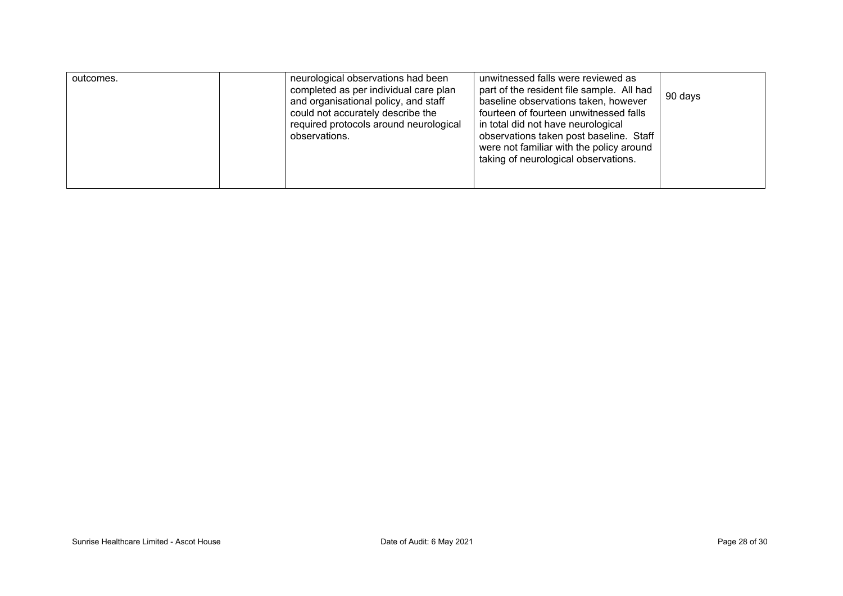| unwitnessed falls were reviewed as<br>neurological observations had been<br>outcomes.<br>completed as per individual care plan<br>part of the resident file sample. All had<br>90 days<br>baseline observations taken, however<br>and organisational policy, and staff<br>could not accurately describe the<br>fourteen of fourteen unwitnessed falls<br>required protocols around neurological<br>in total did not have neurological<br>observations taken post baseline. Staff<br>observations.<br>were not familiar with the policy around<br>taking of neurological observations. |  |
|---------------------------------------------------------------------------------------------------------------------------------------------------------------------------------------------------------------------------------------------------------------------------------------------------------------------------------------------------------------------------------------------------------------------------------------------------------------------------------------------------------------------------------------------------------------------------------------|--|
|---------------------------------------------------------------------------------------------------------------------------------------------------------------------------------------------------------------------------------------------------------------------------------------------------------------------------------------------------------------------------------------------------------------------------------------------------------------------------------------------------------------------------------------------------------------------------------------|--|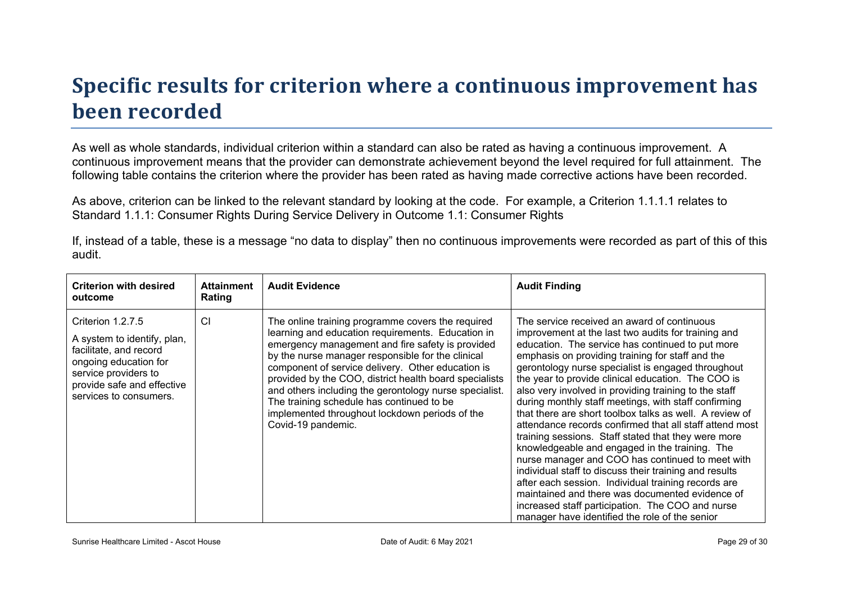# **Specific results for criterion where a continuous improvement has been recorded**

As well as whole standards, individual criterion within a standard can also be rated as having a continuous improvement. A continuous improvement means that the provider can demonstrate achievement beyond the level required for full attainment. The following table contains the criterion where the provider has been rated as having made corrective actions have been recorded.

As above, criterion can be linked to the relevant standard by looking at the code. For example, a Criterion 1.1.1.1 relates to Standard 1.1.1: Consumer Rights During Service Delivery in Outcome 1.1: Consumer Rights

If, instead of a table, these is a message "no data to display" then no continuous improvements were recorded as part of this of this audit.

| <b>Criterion with desired</b><br>outcome                                                                                                                                            | <b>Attainment</b><br>Rating | <b>Audit Evidence</b>                                                                                                                                                                                                                                                                                                                                                                                                                                                                                         | <b>Audit Finding</b>                                                                                                                                                                                                                                                                                                                                                                                                                                                                                                                                                                                                                                                                                                                                                                                                                                                                                                                                                                                 |
|-------------------------------------------------------------------------------------------------------------------------------------------------------------------------------------|-----------------------------|---------------------------------------------------------------------------------------------------------------------------------------------------------------------------------------------------------------------------------------------------------------------------------------------------------------------------------------------------------------------------------------------------------------------------------------------------------------------------------------------------------------|------------------------------------------------------------------------------------------------------------------------------------------------------------------------------------------------------------------------------------------------------------------------------------------------------------------------------------------------------------------------------------------------------------------------------------------------------------------------------------------------------------------------------------------------------------------------------------------------------------------------------------------------------------------------------------------------------------------------------------------------------------------------------------------------------------------------------------------------------------------------------------------------------------------------------------------------------------------------------------------------------|
| Criterion 1.2.7.5<br>A system to identify, plan,<br>facilitate, and record<br>ongoing education for<br>service providers to<br>provide safe and effective<br>services to consumers. | <b>CI</b>                   | The online training programme covers the required<br>learning and education requirements. Education in<br>emergency management and fire safety is provided<br>by the nurse manager responsible for the clinical<br>component of service delivery. Other education is<br>provided by the COO, district health board specialists<br>and others including the gerontology nurse specialist.<br>The training schedule has continued to be<br>implemented throughout lockdown periods of the<br>Covid-19 pandemic. | The service received an award of continuous<br>improvement at the last two audits for training and<br>education. The service has continued to put more<br>emphasis on providing training for staff and the<br>gerontology nurse specialist is engaged throughout<br>the year to provide clinical education. The COO is<br>also very involved in providing training to the staff<br>during monthly staff meetings, with staff confirming<br>that there are short toolbox talks as well. A review of<br>attendance records confirmed that all staff attend most<br>training sessions. Staff stated that they were more<br>knowledgeable and engaged in the training. The<br>nurse manager and COO has continued to meet with<br>individual staff to discuss their training and results<br>after each session. Individual training records are<br>maintained and there was documented evidence of<br>increased staff participation. The COO and nurse<br>manager have identified the role of the senior |